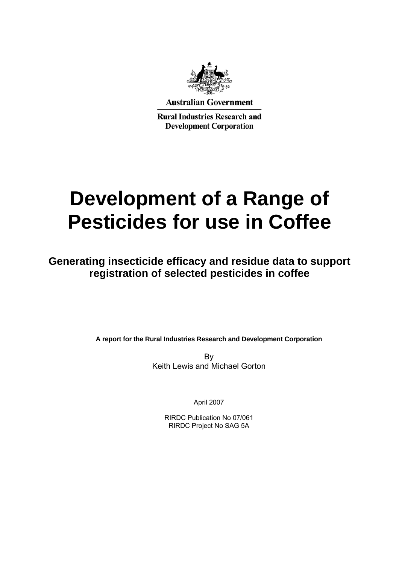

**Australian Government** 

**Rural Industries Research and Development Corporation** 

# **Development of a Range of Pesticides for use in Coffee**

**Generating insecticide efficacy and residue data to support registration of selected pesticides in coffee** 

**A report for the Rural Industries Research and Development Corporation** 

By Keith Lewis and Michael Gorton

April 2007

RIRDC Publication No 07/061 RIRDC Project No SAG 5A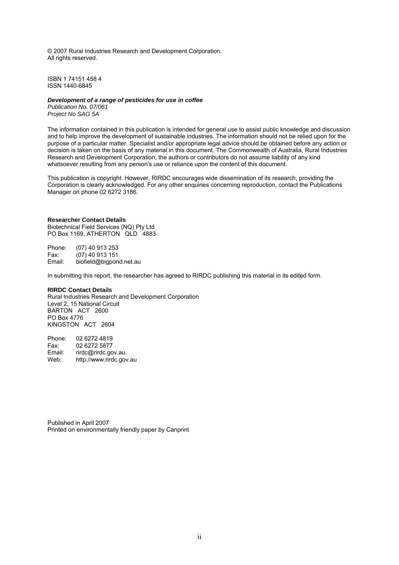© 2007 Rural Industries Research and Development Corporation. All rights reserved.

ISBN 1 74151 458 4 ISSN 1440-6845

#### *Development of a range of pesticides for use in coffee*

*Publication No. 07/061 Project No SAG 5A* 

The information contained in this publication is intended for general use to assist public knowledge and discussion and to help improve the development of sustainable industries. The information should not be relied upon for the purpose of a particular matter. Specialist and/or appropriate legal advice should be obtained before any action or decision is taken on the basis of any material in this document. The Commonwealth of Australia, Rural Industries Research and Development Corporation, the authors or contributors do not assume liability of any kind whatsoever resulting from any person's use or reliance upon the content of this document.

This publication is copyright. However, RIRDC encourages wide dissemination of its research, providing the Corporation is clearly acknowledged. For any other enquiries concerning reproduction, contact the Publications Manager on phone 02 6272 3186.

**Researcher Contact Details**  Biotechnical Field Services (NQ) Pty Ltd PO Box 1169, ATHERTON QLD 4883

Phone: (07) 40 913 253<br>Fax: (07) 40 913 151 Fax: (07) 40 913 151<br>Email: biofield@bigpon biofield@bigpond.net.au

In submitting this report, the researcher has agreed to RIRDC publishing this material in its edited form.

#### **RIRDC Contact Details**

Rural Industries Research and Development Corporation Level 2, 15 National Circuit BARTON ACT 2600 PO Box 4776 KINGSTON ACT 2604

Phone: 02 6272 4819 Fax: 02 6272 5877<br>Email: rirdc@rirdc.go rirdc@rirdc.gov.au. Web: http://www.rirdc.gov.au

Published in April 2007 Printed on environmentally friendly paper by Canprint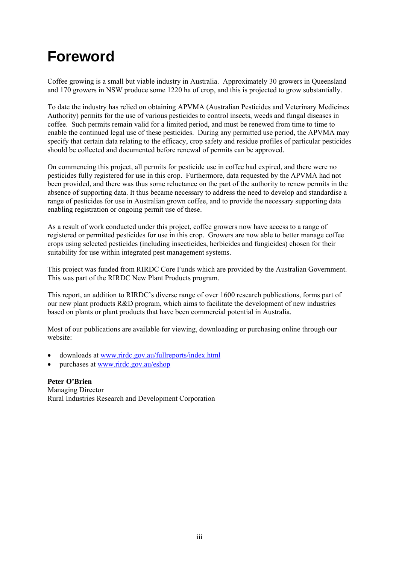## <span id="page-2-0"></span>**Foreword**

Coffee growing is a small but viable industry in Australia. Approximately 30 growers in Queensland and 170 growers in NSW produce some 1220 ha of crop, and this is projected to grow substantially.

To date the industry has relied on obtaining APVMA (Australian Pesticides and Veterinary Medicines Authority) permits for the use of various pesticides to control insects, weeds and fungal diseases in coffee. Such permits remain valid for a limited period, and must be renewed from time to time to enable the continued legal use of these pesticides. During any permitted use period, the APVMA may specify that certain data relating to the efficacy, crop safety and residue profiles of particular pesticides should be collected and documented before renewal of permits can be approved.

On commencing this project, all permits for pesticide use in coffee had expired, and there were no pesticides fully registered for use in this crop. Furthermore, data requested by the APVMA had not been provided, and there was thus some reluctance on the part of the authority to renew permits in the absence of supporting data. It thus became necessary to address the need to develop and standardise a range of pesticides for use in Australian grown coffee, and to provide the necessary supporting data enabling registration or ongoing permit use of these.

As a result of work conducted under this project, coffee growers now have access to a range of registered or permitted pesticides for use in this crop. Growers are now able to better manage coffee crops using selected pesticides (including insecticides, herbicides and fungicides) chosen for their suitability for use within integrated pest management systems.

This project was funded from RIRDC Core Funds which are provided by the Australian Government. This was part of the RIRDC New Plant Products program.

This report, an addition to RIRDC's diverse range of over 1600 research publications, forms part of our new plant products R&D program, which aims to facilitate the development of new industries based on plants or plant products that have been commercial potential in Australia.

Most of our publications are available for viewing, downloading or purchasing online through our website:

- downloads at [www.rirdc.gov.au/fullreports/index.html](http://www.rirdc.gov.au/fullreports/index.html)
- purchases at [www.rirdc.gov.au/eshop](http://www.rirdc.gov.au/eshop)

**Peter O'Brien**  Managing Director Rural Industries Research and Development Corporation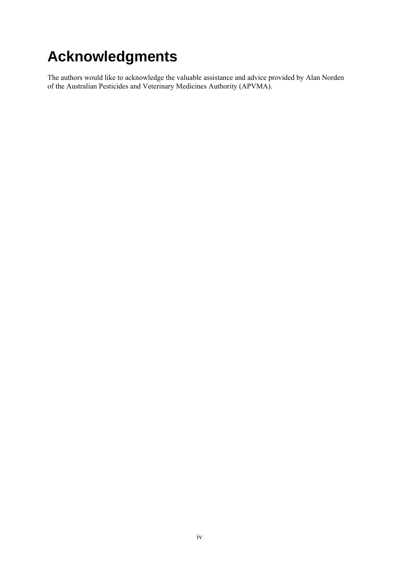## <span id="page-3-0"></span>**Acknowledgments**

The authors would like to acknowledge the valuable assistance and advice provided by Alan Norden of the Australian Pesticides and Veterinary Medicines Authority (APVMA).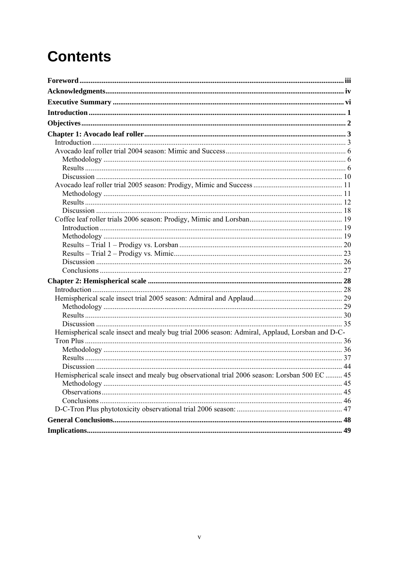## **Contents**

| Hemispherical scale insect and mealy bug trial 2006 season: Admiral, Applaud, Lorsban and D-C- |  |
|------------------------------------------------------------------------------------------------|--|
|                                                                                                |  |
|                                                                                                |  |
|                                                                                                |  |
|                                                                                                |  |
| Hemispherical scale insect and mealy bug observational trial 2006 season: Lorsban 500 EC  45   |  |
|                                                                                                |  |
|                                                                                                |  |
|                                                                                                |  |
|                                                                                                |  |
|                                                                                                |  |
|                                                                                                |  |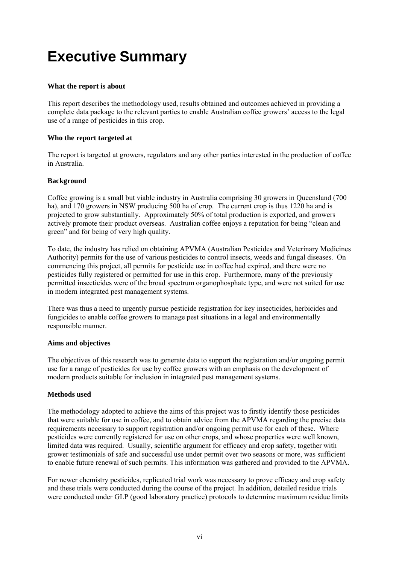## <span id="page-5-0"></span>**Executive Summary**

#### **What the report is about**

This report describes the methodology used, results obtained and outcomes achieved in providing a complete data package to the relevant parties to enable Australian coffee growers' access to the legal use of a range of pesticides in this crop.

#### **Who the report targeted at**

The report is targeted at growers, regulators and any other parties interested in the production of coffee in Australia.

#### **Background**

Coffee growing is a small but viable industry in Australia comprising 30 growers in Queensland (700 ha), and 170 growers in NSW producing 500 ha of crop. The current crop is thus 1220 ha and is projected to grow substantially. Approximately 50% of total production is exported, and growers actively promote their product overseas. Australian coffee enjoys a reputation for being "clean and green" and for being of very high quality.

To date, the industry has relied on obtaining APVMA (Australian Pesticides and Veterinary Medicines Authority) permits for the use of various pesticides to control insects, weeds and fungal diseases. On commencing this project, all permits for pesticide use in coffee had expired, and there were no pesticides fully registered or permitted for use in this crop. Furthermore, many of the previously permitted insecticides were of the broad spectrum organophosphate type, and were not suited for use in modern integrated pest management systems.

There was thus a need to urgently pursue pesticide registration for key insecticides, herbicides and fungicides to enable coffee growers to manage pest situations in a legal and environmentally responsible manner.

#### **Aims and objectives**

The objectives of this research was to generate data to support the registration and/or ongoing permit use for a range of pesticides for use by coffee growers with an emphasis on the development of modern products suitable for inclusion in integrated pest management systems.

#### **Methods used**

The methodology adopted to achieve the aims of this project was to firstly identify those pesticides that were suitable for use in coffee, and to obtain advice from the APVMA regarding the precise data requirements necessary to support registration and/or ongoing permit use for each of these. Where pesticides were currently registered for use on other crops, and whose properties were well known, limited data was required. Usually, scientific argument for efficacy and crop safety, together with grower testimonials of safe and successful use under permit over two seasons or more, was sufficient to enable future renewal of such permits. This information was gathered and provided to the APVMA.

For newer chemistry pesticides, replicated trial work was necessary to prove efficacy and crop safety and these trials were conducted during the course of the project. In addition, detailed residue trials were conducted under GLP (good laboratory practice) protocols to determine maximum residue limits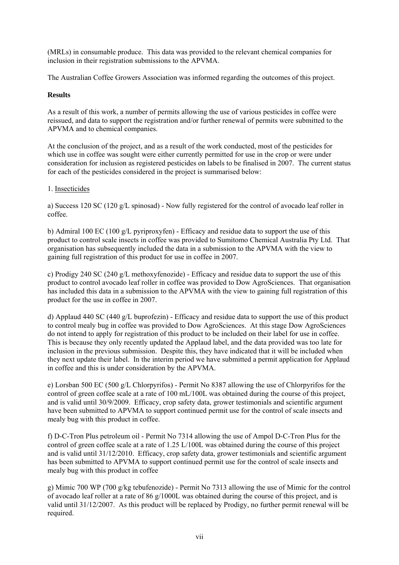(MRLs) in consumable produce. This data was provided to the relevant chemical companies for inclusion in their registration submissions to the APVMA.

The Australian Coffee Growers Association was informed regarding the outcomes of this project.

#### **Results**

As a result of this work, a number of permits allowing the use of various pesticides in coffee were reissued, and data to support the registration and/or further renewal of permits were submitted to the APVMA and to chemical companies.

At the conclusion of the project, and as a result of the work conducted, most of the pesticides for which use in coffee was sought were either currently permitted for use in the crop or were under consideration for inclusion as registered pesticides on labels to be finalised in 2007. The current status for each of the pesticides considered in the project is summarised below:

#### 1. Insecticides

a) Success 120 SC (120 g/L spinosad) - Now fully registered for the control of avocado leaf roller in coffee.

b) Admiral 100 EC (100  $g/L$  pyriproxyfen) - Efficacy and residue data to support the use of this product to control scale insects in coffee was provided to Sumitomo Chemical Australia Pty Ltd. That organisation has subsequently included the data in a submission to the APVMA with the view to gaining full registration of this product for use in coffee in 2007.

c) Prodigy 240 SC (240 g/L methoxyfenozide) - Efficacy and residue data to support the use of this product to control avocado leaf roller in coffee was provided to Dow AgroSciences. That organisation has included this data in a submission to the APVMA with the view to gaining full registration of this product for the use in coffee in 2007.

d) Applaud 440 SC (440 g/L buprofezin) - Efficacy and residue data to support the use of this product to control mealy bug in coffee was provided to Dow AgroSciences. At this stage Dow AgroSciences do not intend to apply for registration of this product to be included on their label for use in coffee. This is because they only recently updated the Applaud label, and the data provided was too late for inclusion in the previous submission. Despite this, they have indicated that it will be included when they next update their label. In the interim period we have submitted a permit application for Applaud in coffee and this is under consideration by the APVMA.

e) Lorsban 500 EC (500 g/L Chlorpyrifos) - Permit No 8387 allowing the use of Chlorpyrifos for the control of green coffee scale at a rate of 100 mL/100L was obtained during the course of this project, and is valid until 30/9/2009. Efficacy, crop safety data, grower testimonials and scientific argument have been submitted to APVMA to support continued permit use for the control of scale insects and mealy bug with this product in coffee.

f) D-C-Tron Plus petroleum oil - Permit No 7314 allowing the use of Ampol D-C-Tron Plus for the control of green coffee scale at a rate of 1.25 L/100L was obtained during the course of this project and is valid until 31/12/2010. Efficacy, crop safety data, grower testimonials and scientific argument has been submitted to APVMA to support continued permit use for the control of scale insects and mealy bug with this product in coffee

g) Mimic 700 WP (700 g/kg tebufenozide) - Permit No 7313 allowing the use of Mimic for the control of avocado leaf roller at a rate of 86 g/1000L was obtained during the course of this project, and is valid until 31/12/2007. As this product will be replaced by Prodigy, no further permit renewal will be required.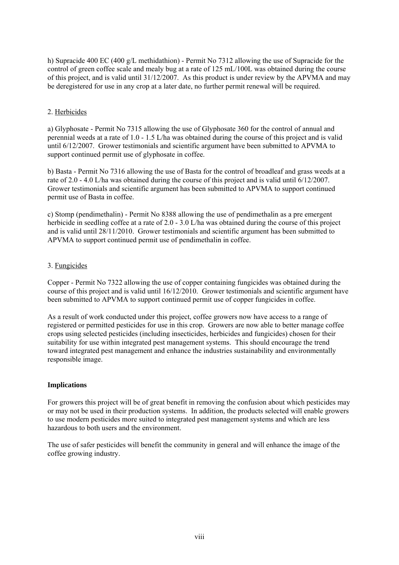h) Supracide 400 EC (400 g/L methidathion) - Permit No 7312 allowing the use of Supracide for the control of green coffee scale and mealy bug at a rate of 125 mL/100L was obtained during the course of this project, and is valid until 31/12/2007. As this product is under review by the APVMA and may be deregistered for use in any crop at a later date, no further permit renewal will be required.

#### 2. Herbicides

a) Glyphosate - Permit No 7315 allowing the use of Glyphosate 360 for the control of annual and perennial weeds at a rate of 1.0 - 1.5 L/ha was obtained during the course of this project and is valid until 6/12/2007. Grower testimonials and scientific argument have been submitted to APVMA to support continued permit use of glyphosate in coffee.

b) Basta - Permit No 7316 allowing the use of Basta for the control of broadleaf and grass weeds at a rate of 2.0 - 4.0 L/ha was obtained during the course of this project and is valid until 6/12/2007. Grower testimonials and scientific argument has been submitted to APVMA to support continued permit use of Basta in coffee.

c) Stomp (pendimethalin) - Permit No 8388 allowing the use of pendimethalin as a pre emergent herbicide in seedling coffee at a rate of 2.0 - 3.0 L/ha was obtained during the course of this project and is valid until 28/11/2010. Grower testimonials and scientific argument has been submitted to APVMA to support continued permit use of pendimethalin in coffee.

#### 3. Fungicides

Copper - Permit No 7322 allowing the use of copper containing fungicides was obtained during the course of this project and is valid until 16/12/2010. Grower testimonials and scientific argument have been submitted to APVMA to support continued permit use of copper fungicides in coffee.

As a result of work conducted under this project, coffee growers now have access to a range of registered or permitted pesticides for use in this crop. Growers are now able to better manage coffee crops using selected pesticides (including insecticides, herbicides and fungicides) chosen for their suitability for use within integrated pest management systems. This should encourage the trend toward integrated pest management and enhance the industries sustainability and environmentally responsible image.

#### **Implications**

For growers this project will be of great benefit in removing the confusion about which pesticides may or may not be used in their production systems. In addition, the products selected will enable growers to use modern pesticides more suited to integrated pest management systems and which are less hazardous to both users and the environment.

The use of safer pesticides will benefit the community in general and will enhance the image of the coffee growing industry.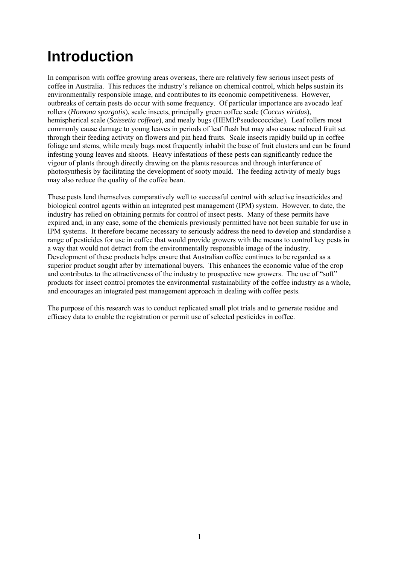## <span id="page-8-0"></span>**Introduction**

In comparison with coffee growing areas overseas, there are relatively few serious insect pests of coffee in Australia. This reduces the industry's reliance on chemical control, which helps sustain its environmentally responsible image, and contributes to its economic competitiveness. However, outbreaks of certain pests do occur with some frequency. Of particular importance are avocado leaf rollers (*Homona spargotis*), scale insects, principally green coffee scale (*Coccus viridus*), hemispherical scale (*Saissetia coffeae*), and mealy bugs (HEMI:Pseudococcidae). Leaf rollers most commonly cause damage to young leaves in periods of leaf flush but may also cause reduced fruit set through their feeding activity on flowers and pin head fruits. Scale insects rapidly build up in coffee foliage and stems, while mealy bugs most frequently inhabit the base of fruit clusters and can be found infesting young leaves and shoots. Heavy infestations of these pests can significantly reduce the vigour of plants through directly drawing on the plants resources and through interference of photosynthesis by facilitating the development of sooty mould. The feeding activity of mealy bugs may also reduce the quality of the coffee bean.

These pests lend themselves comparatively well to successful control with selective insecticides and biological control agents within an integrated pest management (IPM) system. However, to date, the industry has relied on obtaining permits for control of insect pests. Many of these permits have expired and, in any case, some of the chemicals previously permitted have not been suitable for use in IPM systems. It therefore became necessary to seriously address the need to develop and standardise a range of pesticides for use in coffee that would provide growers with the means to control key pests in a way that would not detract from the environmentally responsible image of the industry. Development of these products helps ensure that Australian coffee continues to be regarded as a superior product sought after by international buyers. This enhances the economic value of the crop and contributes to the attractiveness of the industry to prospective new growers. The use of "soft" products for insect control promotes the environmental sustainability of the coffee industry as a whole, and encourages an integrated pest management approach in dealing with coffee pests.

The purpose of this research was to conduct replicated small plot trials and to generate residue and efficacy data to enable the registration or permit use of selected pesticides in coffee.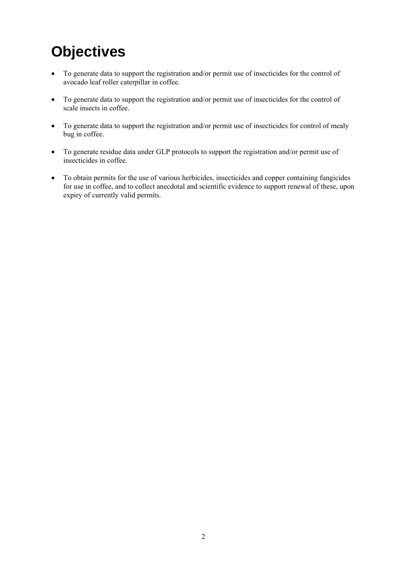## <span id="page-9-0"></span>**Objectives**

- To generate data to support the registration and/or permit use of insecticides for the control of avocado leaf roller caterpillar in coffee.
- To generate data to support the registration and/or permit use of insecticides for the control of scale insects in coffee.
- To generate data to support the registration and/or permit use of insecticides for control of mealy bug in coffee.
- To generate residue data under GLP protocols to support the registration and/or permit use of insecticides in coffee.
- To obtain permits for the use of various herbicides, insecticides and copper containing fungicides for use in coffee, and to collect anecdotal and scientific evidence to support renewal of these, upon expiry of currently valid permits.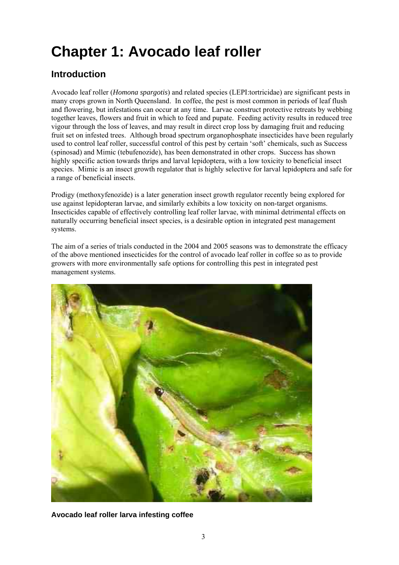## <span id="page-10-0"></span>**Chapter 1: Avocado leaf roller**

## **Introduction**

Avocado leaf roller (*Homona spargotis*) and related species (LEPI:tortricidae) are significant pests in many crops grown in North Queensland. In coffee, the pest is most common in periods of leaf flush and flowering, but infestations can occur at any time. Larvae construct protective retreats by webbing together leaves, flowers and fruit in which to feed and pupate. Feeding activity results in reduced tree vigour through the loss of leaves, and may result in direct crop loss by damaging fruit and reducing fruit set on infested trees. Although broad spectrum organophosphate insecticides have been regularly used to control leaf roller, successful control of this pest by certain 'soft' chemicals, such as Success (spinosad) and Mimic (tebufenozide), has been demonstrated in other crops. Success has shown highly specific action towards thrips and larval lepidoptera, with a low toxicity to beneficial insect species. Mimic is an insect growth regulator that is highly selective for larval lepidoptera and safe for a range of beneficial insects.

Prodigy (methoxyfenozide) is a later generation insect growth regulator recently being explored for use against lepidopteran larvae, and similarly exhibits a low toxicity on non-target organisms. Insecticides capable of effectively controlling leaf roller larvae, with minimal detrimental effects on naturally occurring beneficial insect species, is a desirable option in integrated pest management systems.

The aim of a series of trials conducted in the 2004 and 2005 seasons was to demonstrate the efficacy of the above mentioned insecticides for the control of avocado leaf roller in coffee so as to provide growers with more environmentally safe options for controlling this pest in integrated pest management systems.



**Avocado leaf roller larva infesting coffee**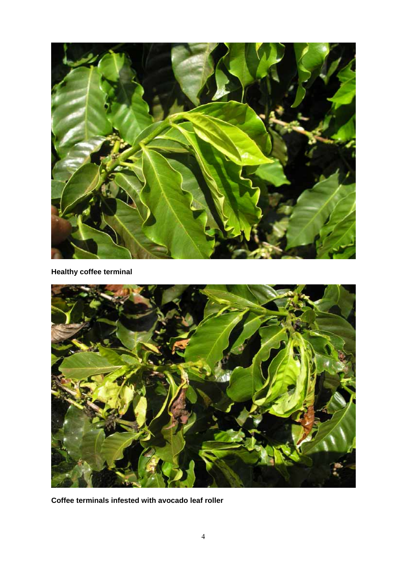

**Healthy coffee terminal** 



**Coffee terminals infested with avocado leaf roller**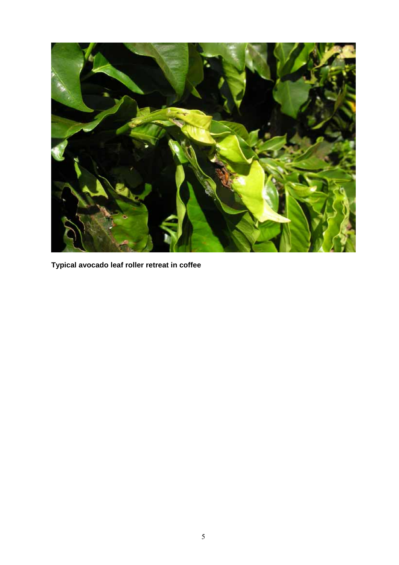

**Typical avocado leaf roller retreat in coffee**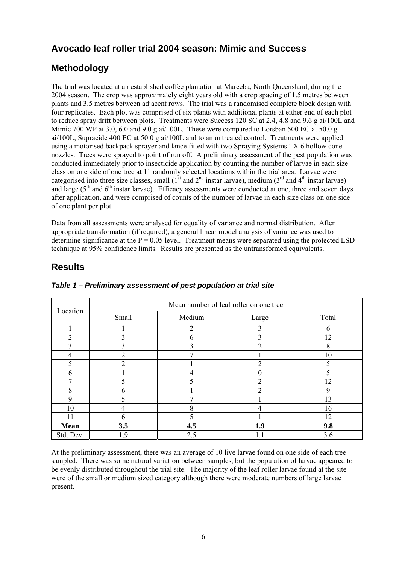## <span id="page-13-0"></span>**Avocado leaf roller trial 2004 season: Mimic and Success**

## **Methodology**

The trial was located at an established coffee plantation at Mareeba, North Queensland, during the 2004 season. The crop was approximately eight years old with a crop spacing of 1.5 metres between plants and 3.5 metres between adjacent rows. The trial was a randomised complete block design with four replicates. Each plot was comprised of six plants with additional plants at either end of each plot to reduce spray drift between plots. Treatments were Success 120 SC at 2.4, 4.8 and 9.6 g ai/100L and Mimic 700 WP at 3.0, 6.0 and 9.0 g ai/100L. These were compared to Lorsban 500 EC at 50.0 g ai/100L, Supracide 400 EC at 50.0 g ai/100L and to an untreated control. Treatments were applied using a motorised backpack sprayer and lance fitted with two Spraying Systems TX 6 hollow cone nozzles. Trees were sprayed to point of run off. A preliminary assessment of the pest population was conducted immediately prior to insecticide application by counting the number of larvae in each size class on one side of one tree at 11 randomly selected locations within the trial area. Larvae were categorised into three size classes, small  $(1<sup>st</sup>$  and  $2<sup>nd</sup>$  instar larvae), medium  $(3<sup>rd</sup>$  and  $4<sup>th</sup>$  instar larvae) and large  $(5<sup>th</sup>$  and  $6<sup>th</sup>$  instar larvae). Efficacy assessments were conducted at one, three and seven days after application, and were comprised of counts of the number of larvae in each size class on one side of one plant per plot.

Data from all assessments were analysed for equality of variance and normal distribution. After appropriate transformation (if required), a general linear model analysis of variance was used to determine significance at the  $P = 0.05$  level. Treatment means were separated using the protected LSD technique at 95% confidence limits. Results are presented as the untransformed equivalents.

## **Results**

|             | Mean number of leaf roller on one tree |        |               |       |  |  |  |  |
|-------------|----------------------------------------|--------|---------------|-------|--|--|--|--|
| Location    | Small                                  | Medium | Large         | Total |  |  |  |  |
|             |                                        |        |               | 6     |  |  |  |  |
| 2           |                                        | 6      |               | 12    |  |  |  |  |
| 3           |                                        | 3      | 2             | 8     |  |  |  |  |
| 4           | ∍                                      | 7      |               | 10    |  |  |  |  |
|             |                                        |        | ጎ             | 5     |  |  |  |  |
| 6           |                                        |        | 0             | 5     |  |  |  |  |
| 7           |                                        |        | $\mathcal{D}$ | 12    |  |  |  |  |
| 8           | h                                      |        | າ             | 9     |  |  |  |  |
| 9           |                                        |        |               | 13    |  |  |  |  |
| 10          |                                        | 8      | 4             | 16    |  |  |  |  |
| 11          | 6                                      |        |               | 12    |  |  |  |  |
| <b>Mean</b> | 3.5                                    | 4.5    | 1.9           | 9.8   |  |  |  |  |
| Std. Dev.   | 1.9                                    | 2.5    | 1.1           | 3.6   |  |  |  |  |

*Table 1 – Preliminary assessment of pest population at trial site* 

At the preliminary assessment, there was an average of 10 live larvae found on one side of each tree sampled. There was some natural variation between samples, but the population of larvae appeared to be evenly distributed throughout the trial site. The majority of the leaf roller larvae found at the site were of the small or medium sized category although there were moderate numbers of large larvae present.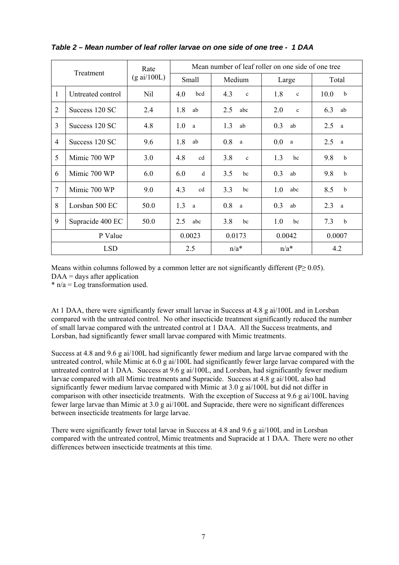|                | Rate<br>Treatment |                       |            | Mean number of leaf roller on one side of one tree |                     |                    |  |  |
|----------------|-------------------|-----------------------|------------|----------------------------------------------------|---------------------|--------------------|--|--|
|                |                   | $(g \text{ ai}/100L)$ | Small      | Medium                                             | Large               | Total              |  |  |
| 1              | Untreated control | Nil                   | 4.0<br>bcd | 4.3<br>$\mathbf{c}$                                | 1.8<br>$\mathbf{c}$ | 10.0<br>b          |  |  |
| $\overline{2}$ | Success 120 SC    | 2.4                   | 1.8<br>ab  | 2.5<br>abc                                         | 2.0<br>$\mathbf{c}$ | 6.3<br>ab          |  |  |
| $\overline{3}$ | Success 120 SC    | 4.8                   | 1.0<br>a   | 1.3<br>ab                                          | 0.3<br>ab           | 2.5<br>a           |  |  |
| $\overline{4}$ | Success 120 SC    | 9.6                   | 1.8<br>ab  | 0.8<br>a                                           | 0.0<br>a            | 2.5<br>a           |  |  |
| 5              | Mimic 700 WP      | 3.0                   | 4.8<br>cd  | 3.8<br>$\mathbf{c}$                                | 1.3<br>bc           | 9.8<br>$\mathbf b$ |  |  |
| 6              | Mimic 700 WP      | 6.0                   | 6.0<br>d   | 3.5<br>bc                                          | 0.3<br>ab           | 9.8<br>$\mathbf b$ |  |  |
| $\overline{7}$ | Mimic 700 WP      | 9.0                   | 4.3<br>cd  | 3.3<br>bc                                          | 1.0<br>abc          | 8.5<br>$\mathbf b$ |  |  |
| 8              | Lorsban 500 EC    | 50.0                  | 1.3<br>a   | 0.8<br>a                                           | 0.3<br>ab           | 2.3<br>a           |  |  |
| 9              | Supracide 400 EC  | 50.0                  | 2.5<br>abc | 3.8<br>bc                                          | 1.0<br>bc           | 7.3<br>$\mathbf b$ |  |  |
| P Value        |                   | 0.0023                | 0.0173     | 0.0042                                             | 0.0007              |                    |  |  |
|                | <b>LSD</b>        |                       | 2.5        | $n/a^*$                                            | $n/a^*$             | 4.2                |  |  |

*Table 2 – Mean number of leaf roller larvae on one side of one tree - 1 DAA* 

Means within columns followed by a common letter are not significantly different ( $P \ge 0.05$ ).

 $DAA =$  days after application

 $*$  n/a = Log transformation used.

At 1 DAA, there were significantly fewer small larvae in Success at 4.8 g ai/100L and in Lorsban compared with the untreated control. No other insecticide treatment significantly reduced the number of small larvae compared with the untreated control at 1 DAA. All the Success treatments, and Lorsban, had significantly fewer small larvae compared with Mimic treatments.

Success at 4.8 and 9.6 g ai/100L had significantly fewer medium and large larvae compared with the untreated control, while Mimic at 6.0 g ai/100L had significantly fewer large larvae compared with the untreated control at 1 DAA. Success at 9.6 g ai/100L, and Lorsban, had significantly fewer medium larvae compared with all Mimic treatments and Supracide. Success at 4.8 g ai/100L also had significantly fewer medium larvae compared with Mimic at 3.0 g ai/100L but did not differ in comparison with other insecticide treatments. With the exception of Success at 9.6 g ai/100L having fewer large larvae than Mimic at 3.0 g ai/100L and Supracide, there were no significant differences between insecticide treatments for large larvae.

There were significantly fewer total larvae in Success at 4.8 and 9.6 g ai/100L and in Lorsban compared with the untreated control, Mimic treatments and Supracide at 1 DAA. There were no other differences between insecticide treatments at this time.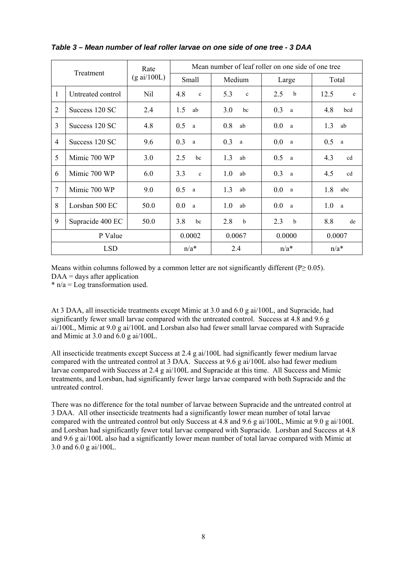|                | Rate<br>Treatment |                       |                     |                     | Mean number of leaf roller on one side of one tree |            |
|----------------|-------------------|-----------------------|---------------------|---------------------|----------------------------------------------------|------------|
|                |                   | $(g \text{ ai}/100L)$ | Small               | Medium              | Large                                              | Total      |
| 1              | Untreated control | Nil                   | 4.8<br>$\mathbf{c}$ | 5.3<br>$\mathbf{c}$ | 2.5<br>b                                           | 12.5<br>e  |
| $\overline{2}$ | Success 120 SC    | 2.4                   | 1.5<br>ab           | 3.0<br>bc           | 0.3<br>a                                           | 4.8<br>bcd |
| $\overline{3}$ | Success 120 SC    | 4.8                   | 0.5<br>a            | 0.8<br>ab           | 0.0<br>a                                           | 1.3<br>ab  |
| $\overline{4}$ | Success 120 SC    | 9.6                   | 0.3<br>a            | 0.3<br>a            | 0.0<br>a                                           | 0.5<br>a   |
| 5              | Mimic 700 WP      | 3.0                   | 2.5<br>bc           | 1.3<br>ab           | 0.5<br>a                                           | 4.3<br>cd  |
| 6              | Mimic 700 WP      | 6.0                   | 3.3<br>$\mathbf{c}$ | 1.0<br>ab           | 0.3<br>a                                           | 4.5<br>cd  |
| $\overline{7}$ | Mimic 700 WP      | 9.0                   | 0.5<br>a            | 1.3<br>ab           | 0.0<br>a                                           | 1.8<br>abc |
| 8              | Lorsban 500 EC    | 50.0                  | $0.0\,$<br>a        | 1.0<br>ab           | 0.0<br>a                                           | 1.0<br>a   |
| 9              | Supracide 400 EC  | 50.0                  | 3.8<br>bc           | 2.8<br>$\mathbf b$  | 2.3<br>$\mathbf b$                                 | 8.8<br>de  |
| P Value        |                   | 0.0002                | 0.0067              | 0.0000              | 0.0007                                             |            |
|                | <b>LSD</b>        |                       | $n/a^*$             | 2.4                 | $n/a^*$                                            | $n/a^*$    |

*Table 3 – Mean number of leaf roller larvae on one side of one tree - 3 DAA* 

Means within columns followed by a common letter are not significantly different ( $P \ge 0.05$ ).  $DAA =$  days after application

 $*$  n/a = Log transformation used.

At 3 DAA, all insecticide treatments except Mimic at 3.0 and 6.0 g ai/100L, and Supracide, had significantly fewer small larvae compared with the untreated control. Success at 4.8 and 9.6 g ai/100L, Mimic at 9.0 g ai/100L and Lorsban also had fewer small larvae compared with Supracide and Mimic at 3.0 and 6.0 g ai/100L.

All insecticide treatments except Success at 2.4 g ai/100L had significantly fewer medium larvae compared with the untreated control at 3 DAA. Success at 9.6 g ai/100L also had fewer medium larvae compared with Success at 2.4 g ai/100L and Supracide at this time. All Success and Mimic treatments, and Lorsban, had significantly fewer large larvae compared with both Supracide and the untreated control.

There was no difference for the total number of larvae between Supracide and the untreated control at 3 DAA. All other insecticide treatments had a significantly lower mean number of total larvae compared with the untreated control but only Success at 4.8 and 9.6 g ai/100L, Mimic at 9.0 g ai/100L and Lorsban had significantly fewer total larvae compared with Supracide. Lorsban and Success at 4.8 and 9.6 g ai/100L also had a significantly lower mean number of total larvae compared with Mimic at 3.0 and 6.0 g ai/100L.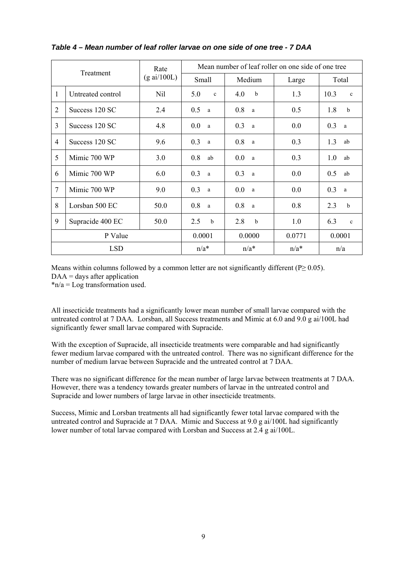| Treatment      |                   | Rate                  | Mean number of leaf roller on one side of one tree |                     |        |                      |  |  |
|----------------|-------------------|-----------------------|----------------------------------------------------|---------------------|--------|----------------------|--|--|
|                |                   | $(g \text{ ai}/100L)$ | Small                                              | Medium              | Large  | Total                |  |  |
| 1              | Untreated control | Nil                   | 5.0<br>$\mathbf{c}$                                | 4.0<br><sub>b</sub> | 1.3    | 10.3<br>$\mathbf{c}$ |  |  |
| $\overline{2}$ | Success 120 SC    | 2.4                   | 0.5<br>a                                           | 0.8<br>a            | 0.5    | 1.8<br>b             |  |  |
| $\overline{3}$ | Success 120 SC    | 4.8                   | 0.0<br>a                                           | 0.3<br>a            | 0.0    | 0.3<br>a             |  |  |
| $\overline{4}$ | Success 120 SC    | 9.6                   | 0.3<br>a                                           | 0.8<br>a            | 0.3    | 1.3<br>ab            |  |  |
| 5              | Mimic 700 WP      | 3.0                   | 0.8<br>ab                                          | $0.0\,$<br>a        | 0.3    | 1.0<br>ab            |  |  |
| 6              | Mimic 700 WP      | 6.0                   | 0.3<br>a                                           | 0.3<br>a            | 0.0    | 0.5<br>ab            |  |  |
| $\overline{7}$ | Mimic 700 WP      | 9.0                   | 0.3<br>a                                           | $0.0\,$<br>a        | 0.0    | 0.3<br>a             |  |  |
| 8              | Lorsban 500 EC    | 50.0                  | 0.8<br>a                                           | 0.8<br>a            | 0.8    | 2.3<br>$\mathbf b$   |  |  |
| 9              | Supracide 400 EC  | 50.0                  | 2.5<br>$\mathbf b$                                 | 2.8<br>$\mathbf b$  | 1.0    | 6.3<br>$\mathbf{c}$  |  |  |
| P Value        |                   | 0.0001                | 0.0000                                             | 0.0771              | 0.0001 |                      |  |  |
| <b>LSD</b>     |                   |                       | $n/a^*$                                            | $n/a^*$             | $n/a*$ | n/a                  |  |  |

#### *Table 4 – Mean number of leaf roller larvae on one side of one tree - 7 DAA*

Means within columns followed by a common letter are not significantly different ( $P \ge 0.05$ ).

 $DAA =$  days after application

 $n/a =$ Log transformation used.

All insecticide treatments had a significantly lower mean number of small larvae compared with the untreated control at 7 DAA. Lorsban, all Success treatments and Mimic at 6.0 and 9.0 g ai/100L had significantly fewer small larvae compared with Supracide.

With the exception of Supracide, all insecticide treatments were comparable and had significantly fewer medium larvae compared with the untreated control. There was no significant difference for the number of medium larvae between Supracide and the untreated control at 7 DAA.

There was no significant difference for the mean number of large larvae between treatments at 7 DAA. However, there was a tendency towards greater numbers of larvae in the untreated control and Supracide and lower numbers of large larvae in other insecticide treatments.

Success, Mimic and Lorsban treatments all had significantly fewer total larvae compared with the untreated control and Supracide at 7 DAA. Mimic and Success at 9.0 g ai/100L had significantly lower number of total larvae compared with Lorsban and Success at 2.4 g ai/100L.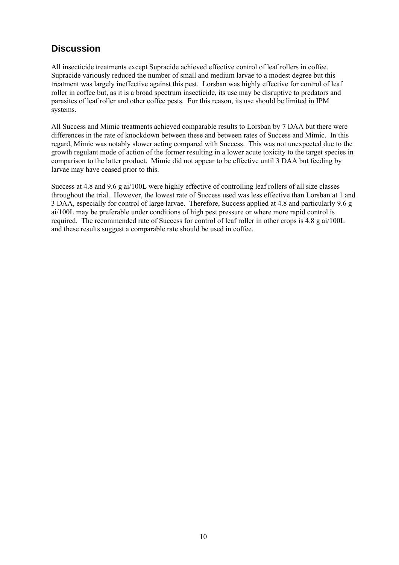## <span id="page-17-0"></span>**Discussion**

All insecticide treatments except Supracide achieved effective control of leaf rollers in coffee. Supracide variously reduced the number of small and medium larvae to a modest degree but this treatment was largely ineffective against this pest. Lorsban was highly effective for control of leaf roller in coffee but, as it is a broad spectrum insecticide, its use may be disruptive to predators and parasites of leaf roller and other coffee pests. For this reason, its use should be limited in IPM systems.

All Success and Mimic treatments achieved comparable results to Lorsban by 7 DAA but there were differences in the rate of knockdown between these and between rates of Success and Mimic. In this regard, Mimic was notably slower acting compared with Success. This was not unexpected due to the growth regulant mode of action of the former resulting in a lower acute toxicity to the target species in comparison to the latter product. Mimic did not appear to be effective until 3 DAA but feeding by larvae may have ceased prior to this.

Success at 4.8 and 9.6 g ai/100L were highly effective of controlling leaf rollers of all size classes throughout the trial. However, the lowest rate of Success used was less effective than Lorsban at 1 and 3 DAA, especially for control of large larvae. Therefore, Success applied at 4.8 and particularly 9.6 g ai/100L may be preferable under conditions of high pest pressure or where more rapid control is required. The recommended rate of Success for control of leaf roller in other crops is 4.8 g ai/100L and these results suggest a comparable rate should be used in coffee.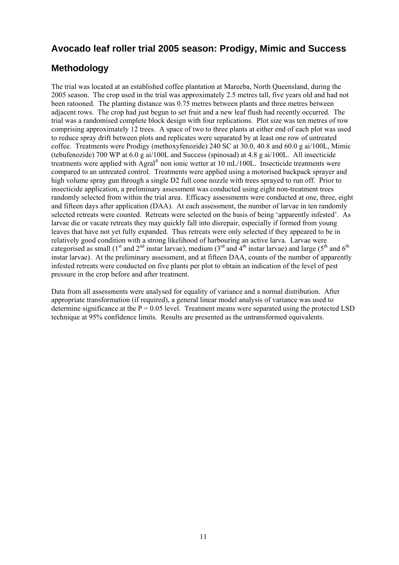## <span id="page-18-0"></span>**Avocado leaf roller trial 2005 season: Prodigy, Mimic and Success**

## **Methodology**

The trial was located at an established coffee plantation at Mareeba, North Queensland, during the 2005 season. The crop used in the trial was approximately 2.5 metres tall, five years old and had not been ratooned. The planting distance was 0.75 metres between plants and three metres between adjacent rows. The crop had just begun to set fruit and a new leaf flush had recently occurred. The trial was a randomised complete block design with four replications. Plot size was ten metres of row comprising approximately 12 trees. A space of two to three plants at either end of each plot was used to reduce spray drift between plots and replicates were separated by at least one row of untreated coffee. Treatments were Prodigy (methoxyfenozide) 240 SC at 30.0, 40.8 and 60.0 g ai/100L, Mimic (tebufenozide) 700 WP at 6.0 g ai/100L and Success (spinosad) at 4.8 g ai/100L. All insecticide treatments were applied with Agral® non ionic wetter at 10 mL/100L. Insecticide treatments were compared to an untreated control. Treatments were applied using a motorised backpack sprayer and high volume spray gun through a single D2 full cone nozzle with trees sprayed to run off. Prior to insecticide application, a preliminary assessment was conducted using eight non-treatment trees randomly selected from within the trial area. Efficacy assessments were conducted at one, three, eight and fifteen days after application (DAA). At each assessment, the number of larvae in ten randomly selected retreats were counted. Retreats were selected on the basis of being 'apparently infested'. As larvae die or vacate retreats they may quickly fall into disrepair, especially if formed from young leaves that have not yet fully expanded. Thus retreats were only selected if they appeared to be in relatively good condition with a strong likelihood of harbouring an active larva. Larvae were categorised as small (1<sup>st</sup> and  $2<sup>nd</sup>$  instar larvae), medium (3<sup>rd</sup> and 4<sup>th</sup> instar larvae) and large (5<sup>th</sup> and 6<sup>th</sup>) instar larvae). At the preliminary assessment, and at fifteen DAA, counts of the number of apparently infested retreats were conducted on five plants per plot to obtain an indication of the level of pest pressure in the crop before and after treatment.

Data from all assessments were analysed for equality of variance and a normal distribution. After appropriate transformation (if required), a general linear model analysis of variance was used to determine significance at the  $P = 0.05$  level. Treatment means were separated using the protected LSD technique at 95% confidence limits. Results are presented as the untransformed equivalents.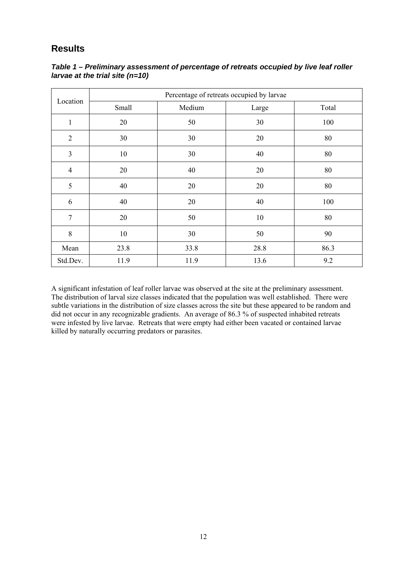### <span id="page-19-0"></span>**Results**

| Location       |       | Percentage of retreats occupied by larvae |       |       |  |  |  |  |
|----------------|-------|-------------------------------------------|-------|-------|--|--|--|--|
|                | Small | Medium                                    | Large | Total |  |  |  |  |
| $\mathbf{1}$   | 20    | 50                                        | 30    | 100   |  |  |  |  |
| $\overline{2}$ | 30    | 30                                        | 20    | 80    |  |  |  |  |
| $\overline{3}$ | 10    | 30                                        | 40    | 80    |  |  |  |  |
| $\overline{4}$ | 20    | 40                                        | 20    | 80    |  |  |  |  |
| 5              | 40    | 20                                        | 20    | 80    |  |  |  |  |
| 6              | 40    | 20                                        | 40    | 100   |  |  |  |  |
| $\overline{7}$ | 20    | 50                                        | 10    | 80    |  |  |  |  |
| 8              | 10    | 30                                        | 50    | 90    |  |  |  |  |
| Mean           | 23.8  | 33.8                                      | 28.8  | 86.3  |  |  |  |  |
| Std.Dev.       | 11.9  | 11.9                                      | 13.6  | 9.2   |  |  |  |  |

*Table 1 – Preliminary assessment of percentage of retreats occupied by live leaf roller larvae at the trial site (n=10)* 

A significant infestation of leaf roller larvae was observed at the site at the preliminary assessment. The distribution of larval size classes indicated that the population was well established. There were subtle variations in the distribution of size classes across the site but these appeared to be random and did not occur in any recognizable gradients. An average of 86.3 % of suspected inhabited retreats were infested by live larvae. Retreats that were empty had either been vacated or contained larvae killed by naturally occurring predators or parasites.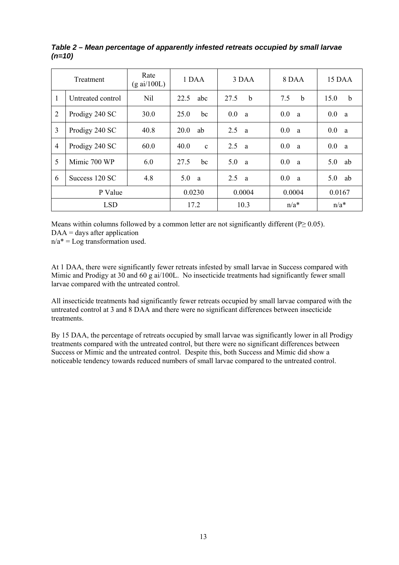|                | Treatment         | Rate<br>$(g \text{ ai}/100L)$ | 1 DAA                | 3 DAA                 | 8 DAA    | 15 DAA              |
|----------------|-------------------|-------------------------------|----------------------|-----------------------|----------|---------------------|
| 1              | Untreated control | Nil                           | 22.5<br>abc          | b<br>27.5             | b<br>7.5 | $\mathbf b$<br>15.0 |
| 2              | Prodigy 240 SC    | 30.0                          | 25.0<br>bc           | 0.0<br>a              | 0.0<br>a | 0.0<br>a            |
| 3              | Prodigy 240 SC    | 40.8                          | 20.0<br>ab           | 2.5 a                 | 0.0<br>a | $0.0\,$<br>a        |
| $\overline{4}$ | Prodigy 240 SC    | 60.0                          | 40.0<br>$\mathbf{c}$ | 2.5<br>$\overline{a}$ | 0.0<br>a | 0.0<br>a            |
| 5              | Mimic 700 WP      | 6.0                           | 27.5<br>bc           | $5.0 \text{ a}$       | 0.0<br>a | 5.0<br>ab           |
| 6              | Success 120 SC    | 4.8                           | 5.0<br>a             | 2.5<br>a              | 0.0<br>a | 5.0<br>ab           |
| P Value        |                   | 0.0230                        | 0.0004               | 0.0004                | 0.0167   |                     |
|                | <b>LSD</b>        |                               | 17.2                 | 10.3                  | $n/a^*$  | $n/a^*$             |

*Table 2 – Mean percentage of apparently infested retreats occupied by small larvae (n=10)* 

Means within columns followed by a common letter are not significantly different ( $P \ge 0.05$ ).  $DAA =$  days after application

 $n/a^*$  = Log transformation used.

At 1 DAA, there were significantly fewer retreats infested by small larvae in Success compared with Mimic and Prodigy at 30 and 60 g ai/100L. No insecticide treatments had significantly fewer small larvae compared with the untreated control.

All insecticide treatments had significantly fewer retreats occupied by small larvae compared with the untreated control at 3 and 8 DAA and there were no significant differences between insecticide treatments.

By 15 DAA, the percentage of retreats occupied by small larvae was significantly lower in all Prodigy treatments compared with the untreated control, but there were no significant differences between Success or Mimic and the untreated control. Despite this, both Success and Mimic did show a noticeable tendency towards reduced numbers of small larvae compared to the untreated control.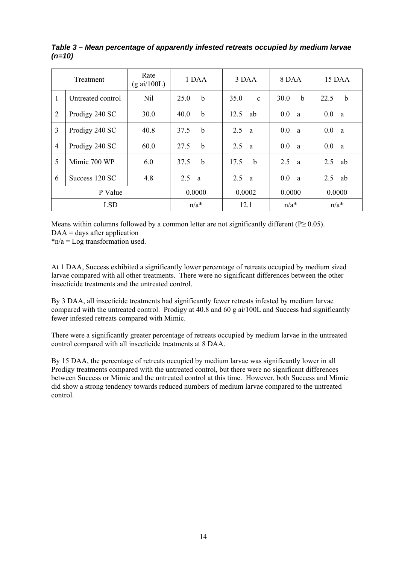|                | Treatment         | Rate<br>$(g \text{ ai}/100L)$ | 1 DAA               | 3 DAA                | 8 DAA               | 15 DAA    |
|----------------|-------------------|-------------------------------|---------------------|----------------------|---------------------|-----------|
| 1              | Untreated control | Nil                           | b<br>25.0           | 35.0<br>$\mathbf{c}$ | $\mathbf b$<br>30.0 | 22.5<br>b |
| $\overline{2}$ | Prodigy 240 SC    | 30.0                          | $\mathbf b$<br>40.0 | 12.5<br>ab           | 0.0<br>a            | 0.0<br>a  |
| $\overline{3}$ | Prodigy 240 SC    | 40.8                          | b<br>37.5           | 2.5<br><sub>a</sub>  | 0.0<br>a            | 0.0<br>a  |
| $\overline{4}$ | Prodigy 240 SC    | 60.0                          | $\mathbf b$<br>27.5 | 2.5<br><sub>a</sub>  | 0.0<br>a            | 0.0<br>a  |
| 5              | Mimic 700 WP      | 6.0                           | b<br>37.5           | 17.5<br>b            | 2.5<br>a            | 2.5<br>ab |
| 6              | Success 120 SC    | 4.8                           | 2.5<br><sup>a</sup> | 2.5<br><sub>a</sub>  | 0.0<br>a            | 2.5<br>ab |
| P Value        |                   | 0.0000                        | 0.0002              | 0.0000               | 0.0000              |           |
|                | <b>LSD</b>        |                               | $n/a^*$             | 12.1                 | $n/a*$              | $n/a*$    |

*Table 3 – Mean percentage of apparently infested retreats occupied by medium larvae (n=10)* 

Means within columns followed by a common letter are not significantly different ( $P \ge 0.05$ ).  $DAA =$  days after application

 $n/a = Log$  transformation used.

At 1 DAA, Success exhibited a significantly lower percentage of retreats occupied by medium sized larvae compared with all other treatments. There were no significant differences between the other insecticide treatments and the untreated control.

By 3 DAA, all insecticide treatments had significantly fewer retreats infested by medium larvae compared with the untreated control. Prodigy at 40.8 and 60 g ai/100L and Success had significantly fewer infested retreats compared with Mimic.

There were a significantly greater percentage of retreats occupied by medium larvae in the untreated control compared with all insecticide treatments at 8 DAA.

By 15 DAA, the percentage of retreats occupied by medium larvae was significantly lower in all Prodigy treatments compared with the untreated control, but there were no significant differences between Success or Mimic and the untreated control at this time. However, both Success and Mimic did show a strong tendency towards reduced numbers of medium larvae compared to the untreated control.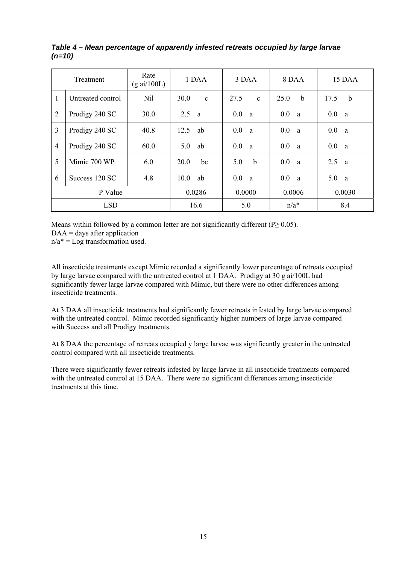| Treatment      |                   | Rate<br>$(g \text{ ai}/100L)$ | 1 DAA                | 3 DAA                   | 8 DAA               | 15 DAA              |
|----------------|-------------------|-------------------------------|----------------------|-------------------------|---------------------|---------------------|
| 1              | Untreated control | Nil                           | 30.0<br>$\mathbf{c}$ | 27.5<br>$\mathbf{c}$    | $\mathbf b$<br>25.0 | 17.5<br>b           |
| $\overline{2}$ | Prodigy 240 SC    | 30.0                          | 2.5<br><sub>a</sub>  | $0.0\,$<br><sub>a</sub> | $0.0\,$<br>a        | 0.0 a               |
| 3              | Prodigy 240 SC    | 40.8                          | 12.5<br>ab           | $0.0\,$<br><sub>a</sub> | 0.0<br>a            | 0.0 a               |
| $\overline{4}$ | Prodigy 240 SC    | 60.0                          | 5.0<br>ab            | $0.0\,$<br><sub>a</sub> | 0.0<br>a            | 0.0 a               |
| 5              | Mimic 700 WP      | 6.0                           | 20.0<br>bc           | 5.0<br>b                | $0.0\,$<br>a        | 2.5 a               |
| 6              | Success 120 SC    | 4.8                           | 10.0<br>ab           | 0.0<br><sub>a</sub>     | $0.0\,$<br>a        | 5.0<br><sub>a</sub> |
| P Value        |                   | 0.0286                        | 0.0000               | 0.0006                  | 0.0030              |                     |
|                | <b>LSD</b>        |                               | 16.6                 | 5.0                     | $n/a^*$             | 8.4                 |

*Table 4 – Mean percentage of apparently infested retreats occupied by large larvae (n=10)* 

Means within followed by a common letter are not significantly different ( $P \ge 0.05$ ).

 $DAA =$  days after application

 $n/a^*$  = Log transformation used.

All insecticide treatments except Mimic recorded a significantly lower percentage of retreats occupied by large larvae compared with the untreated control at 1 DAA. Prodigy at 30 g ai/100L had significantly fewer large larvae compared with Mimic, but there were no other differences among insecticide treatments.

At 3 DAA all insecticide treatments had significantly fewer retreats infested by large larvae compared with the untreated control. Mimic recorded significantly higher numbers of large larvae compared with Success and all Prodigy treatments.

At 8 DAA the percentage of retreats occupied y large larvae was significantly greater in the untreated control compared with all insecticide treatments.

There were significantly fewer retreats infested by large larvae in all insecticide treatments compared with the untreated control at 15 DAA. There were no significant differences among insecticide treatments at this time.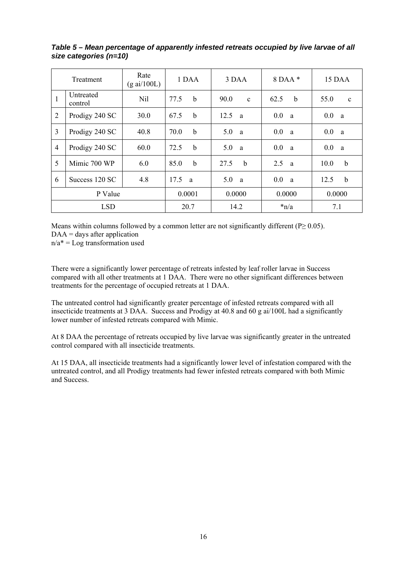|                | Treatment            | Rate<br>$(g \text{ ai}/100L)$ | 1 DAA               | 3 DAA                | 8 DAA *              | 15 DAA               |
|----------------|----------------------|-------------------------------|---------------------|----------------------|----------------------|----------------------|
| 1              | Untreated<br>control | <b>Nil</b>                    | 77.5<br>b           | 90.0<br>$\mathbf{c}$ | $\mathbf{h}$<br>62.5 | 55.0<br>$\mathbf{c}$ |
| $\overline{2}$ | Prodigy 240 SC       | 30.0                          | $\mathbf b$<br>67.5 | 12.5<br>a            | 0.0<br>a             | 0.0<br>a             |
| 3              | Prodigy 240 SC       | 40.8                          | 70.0<br>$\mathbf b$ | 5.0<br>a             | 0.0<br>a             | 0.0<br>a             |
| $\overline{4}$ | Prodigy 240 SC       | 60.0                          | $\mathbf b$<br>72.5 | 5.0<br>a             | 0.0<br>a             | 0.0<br>a             |
| 5              | Mimic 700 WP         | 6.0                           | $\mathbf b$<br>85.0 | $\mathbf b$<br>27.5  | 2.5<br>a             | $\mathbf b$<br>10.0  |
| 6              | Success 120 SC       | 4.8                           | 17.5<br>a           | 5.0<br>a             | 0.0<br>a             | b<br>12.5            |
| P Value        |                      | 0.0001                        | 0.0000              | 0.0000               | 0.0000               |                      |
|                | <b>LSD</b>           |                               | 20.7                | 14.2                 | $*_{n/a}$            | 7.1                  |

*Table 5 – Mean percentage of apparently infested retreats occupied by live larvae of all size categories (n=10)* 

Means within columns followed by a common letter are not significantly different  $(P> 0.05)$ .  $DAA =$  days after application

 $n/a^*$  = Log transformation used

There were a significantly lower percentage of retreats infested by leaf roller larvae in Success compared with all other treatments at 1 DAA. There were no other significant differences between

treatments for the percentage of occupied retreats at 1 DAA.

The untreated control had significantly greater percentage of infested retreats compared with all insecticide treatments at 3 DAA. Success and Prodigy at 40.8 and 60 g ai/100L had a significantly lower number of infested retreats compared with Mimic.

At 8 DAA the percentage of retreats occupied by live larvae was significantly greater in the untreated control compared with all insecticide treatments.

At 15 DAA, all insecticide treatments had a significantly lower level of infestation compared with the untreated control, and all Prodigy treatments had fewer infested retreats compared with both Mimic and Success.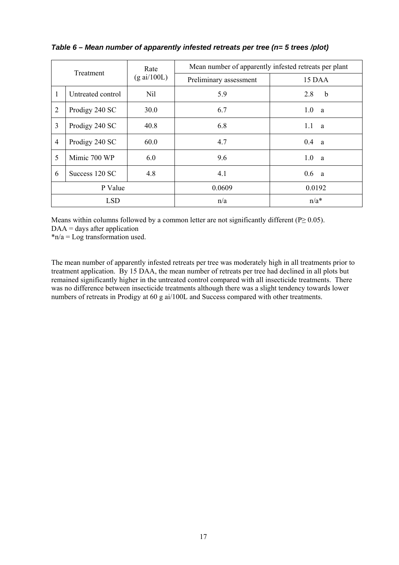| Treatment      |                   | Rate                  | Mean number of apparently infested retreats per plant |                    |
|----------------|-------------------|-----------------------|-------------------------------------------------------|--------------------|
|                |                   | $(g \text{ ai}/100L)$ | Preliminary assessment                                | 15 DAA             |
| 1              | Untreated control | Nil                   | 5.9                                                   | $\mathbf b$<br>2.8 |
| $\overline{2}$ | Prodigy 240 SC    | 30.0                  | 6.7                                                   | 1.0<br>a.          |
| 3              | Prodigy 240 SC    | 40.8                  | 6.8                                                   | $1.1 \text{ a}$    |
| $\overline{4}$ | Prodigy 240 SC    | 60.0                  | 4.7                                                   | 0.4 a              |
| 5              | Mimic 700 WP      | 6.0                   | 9.6                                                   | 1.0 a              |
| 6              | Success 120 SC    | 4.8                   | 4.1                                                   | 0.6 a              |
| P Value        |                   | 0.0609                | 0.0192                                                |                    |
| <b>LSD</b>     |                   | $n/a*$<br>n/a         |                                                       |                    |

*Table 6 – Mean number of apparently infested retreats per tree (n= 5 trees /plot)* 

Means within columns followed by a common letter are not significantly different ( $P \ge 0.05$ ).

 $DAA = \text{days after application}$ 

 $n/a =$ Log transformation used.

The mean number of apparently infested retreats per tree was moderately high in all treatments prior to treatment application. By 15 DAA, the mean number of retreats per tree had declined in all plots but remained significantly higher in the untreated control compared with all insecticide treatments. There was no difference between insecticide treatments although there was a slight tendency towards lower numbers of retreats in Prodigy at 60 g ai/100L and Success compared with other treatments.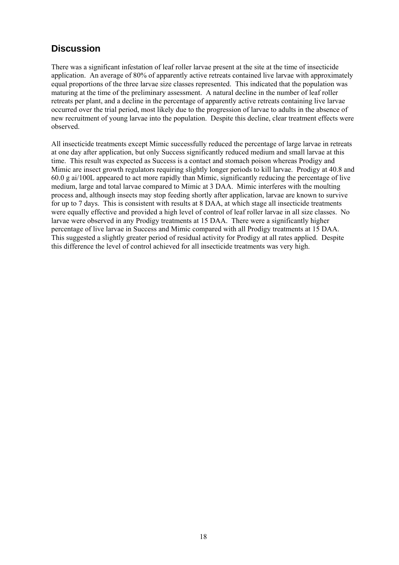## <span id="page-25-0"></span>**Discussion**

There was a significant infestation of leaf roller larvae present at the site at the time of insecticide application. An average of 80% of apparently active retreats contained live larvae with approximately equal proportions of the three larvae size classes represented. This indicated that the population was maturing at the time of the preliminary assessment. A natural decline in the number of leaf roller retreats per plant, and a decline in the percentage of apparently active retreats containing live larvae occurred over the trial period, most likely due to the progression of larvae to adults in the absence of new recruitment of young larvae into the population. Despite this decline, clear treatment effects were observed.

All insecticide treatments except Mimic successfully reduced the percentage of large larvae in retreats at one day after application, but only Success significantly reduced medium and small larvae at this time. This result was expected as Success is a contact and stomach poison whereas Prodigy and Mimic are insect growth regulators requiring slightly longer periods to kill larvae. Prodigy at 40.8 and 60.0 g ai/100L appeared to act more rapidly than Mimic, significantly reducing the percentage of live medium, large and total larvae compared to Mimic at 3 DAA. Mimic interferes with the moulting process and, although insects may stop feeding shortly after application, larvae are known to survive for up to 7 days. This is consistent with results at 8 DAA, at which stage all insecticide treatments were equally effective and provided a high level of control of leaf roller larvae in all size classes. No larvae were observed in any Prodigy treatments at 15 DAA. There were a significantly higher percentage of live larvae in Success and Mimic compared with all Prodigy treatments at 15 DAA. This suggested a slightly greater period of residual activity for Prodigy at all rates applied. Despite this difference the level of control achieved for all insecticide treatments was very high.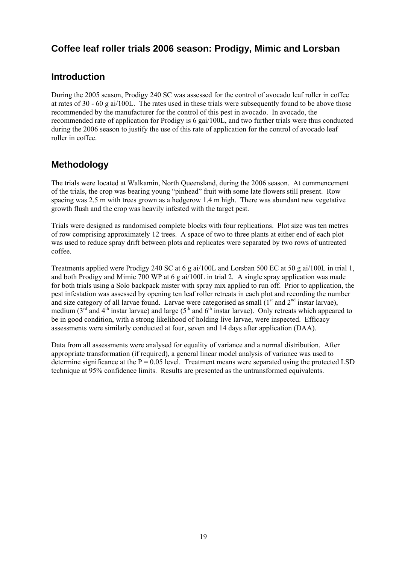## <span id="page-26-0"></span>**Coffee leaf roller trials 2006 season: Prodigy, Mimic and Lorsban**

### **Introduction**

During the 2005 season, Prodigy 240 SC was assessed for the control of avocado leaf roller in coffee at rates of 30 - 60 g ai/100L. The rates used in these trials were subsequently found to be above those recommended by the manufacturer for the control of this pest in avocado. In avocado, the recommended rate of application for Prodigy is 6 gai/100L, and two further trials were thus conducted during the 2006 season to justify the use of this rate of application for the control of avocado leaf roller in coffee.

## **Methodology**

The trials were located at Walkamin, North Queensland, during the 2006 season. At commencement of the trials, the crop was bearing young "pinhead" fruit with some late flowers still present. Row spacing was 2.5 m with trees grown as a hedgerow 1.4 m high. There was abundant new vegetative growth flush and the crop was heavily infested with the target pest.

Trials were designed as randomised complete blocks with four replications. Plot size was ten metres of row comprising approximately 12 trees. A space of two to three plants at either end of each plot was used to reduce spray drift between plots and replicates were separated by two rows of untreated coffee.

Treatments applied were Prodigy 240 SC at 6 g ai/100L and Lorsban 500 EC at 50 g ai/100L in trial 1, and both Prodigy and Mimic 700 WP at 6 g ai/100L in trial 2. A single spray application was made for both trials using a Solo backpack mister with spray mix applied to run off. Prior to application, the pest infestation was assessed by opening ten leaf roller retreats in each plot and recording the number and size category of all larvae found. Larvae were categorised as small  $(1<sup>st</sup>$  and  $2<sup>nd</sup>$  instar larvae), medium ( $3<sup>rd</sup>$  and  $4<sup>th</sup>$  instar larvae) and large ( $5<sup>th</sup>$  and  $6<sup>th</sup>$  instar larvae). Only retreats which appeared to be in good condition, with a strong likelihood of holding live larvae, were inspected. Efficacy assessments were similarly conducted at four, seven and 14 days after application (DAA).

Data from all assessments were analysed for equality of variance and a normal distribution. After appropriate transformation (if required), a general linear model analysis of variance was used to determine significance at the  $P = 0.05$  level. Treatment means were separated using the protected LSD technique at 95% confidence limits. Results are presented as the untransformed equivalents.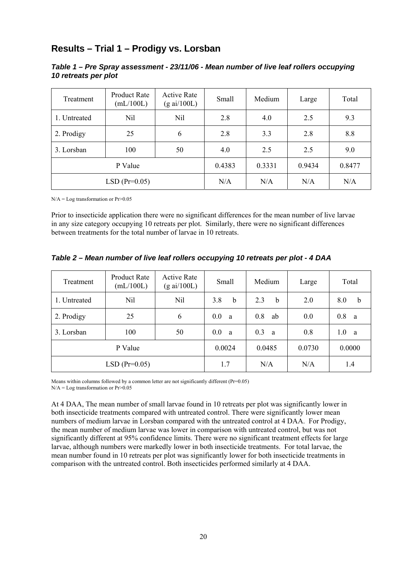### <span id="page-27-0"></span>**Results – Trial 1 – Prodigy vs. Lorsban**

| Treatment       | <b>Product Rate</b><br>(mL/100L) | <b>Active Rate</b><br>$(g \text{ ai}/100L)$ | Small  | Medium | Large  | Total |
|-----------------|----------------------------------|---------------------------------------------|--------|--------|--------|-------|
| 1. Untreated    | <b>Nil</b>                       | <b>Nil</b>                                  | 2.8    | 4.0    | 2.5    | 9.3   |
| 2. Prodigy      | 25                               | 6                                           | 2.8    | 3.3    | 2.8    | 8.8   |
| 3. Lorsban      | 100                              | 50                                          | 4.0    | 2.5    | 2.5    | 9.0   |
|                 | P Value                          | 0.4383                                      | 0.3331 | 0.9434 | 0.8477 |       |
| $LSD$ (Pr=0.05) |                                  |                                             | N/A    | N/A    | N/A    | N/A   |

#### *Table 1 – Pre Spray assessment - 23/11/06 - Mean number of live leaf rollers occupying 10 retreats per plot*

 $N/A =$  Log transformation or Pr>0.05

Prior to insecticide application there were no significant differences for the mean number of live larvae in any size category occupying 10 retreats per plot. Similarly, there were no significant differences between treatments for the total number of larvae in 10 retreats.

| Treatment       | <b>Product Rate</b><br>mL/100L) | <b>Active Rate</b><br>$(g \text{ ai}/100L)$ | Small               | Medium              | Large  | Total               |
|-----------------|---------------------------------|---------------------------------------------|---------------------|---------------------|--------|---------------------|
| 1. Untreated    | Nil                             | <b>Nil</b>                                  | 3.8<br>b            | 2.3<br>$\mathbf b$  | 2.0    | 8.0<br>b            |
| 2. Prodigy      | 25                              | 6                                           | 0.0<br>a            | 0.8<br>ab           | 0.0    | 0.8<br><sub>a</sub> |
| 3. Lorsban      | 100                             | 50                                          | 0.0<br><sub>a</sub> | 0.3<br><sub>a</sub> | 0.8    | 1.0<br><sub>a</sub> |
| P Value         |                                 |                                             | 0.0024              | 0.0485              | 0.0730 | 0.0000              |
| $LSD$ (Pr=0.05) |                                 |                                             | 1.7                 | N/A                 | N/A    | 1.4                 |

*Table 2 – Mean number of live leaf rollers occupying 10 retreats per plot - 4 DAA* 

Means within columns followed by a common letter are not significantly different (Pr=0.05)  $N/A =$  Log transformation or Pr>0.05

At 4 DAA, The mean number of small larvae found in 10 retreats per plot was significantly lower in both insecticide treatments compared with untreated control. There were significantly lower mean numbers of medium larvae in Lorsban compared with the untreated control at 4 DAA. For Prodigy, the mean number of medium larvae was lower in comparison with untreated control, but was not significantly different at 95% confidence limits. There were no significant treatment effects for large larvae, although numbers were markedly lower in both insecticide treatments. For total larvae, the mean number found in 10 retreats per plot was significantly lower for both insecticide treatments in comparison with the untreated control. Both insecticides performed similarly at 4 DAA.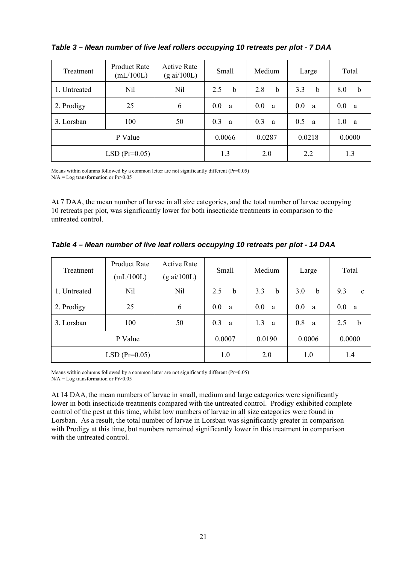| Treatment       | <b>Product Rate</b><br>(mL/100L) | <b>Active Rate</b><br>$(g \text{ ai}/100L)$ | Small              | Medium   | Large               | Total              |
|-----------------|----------------------------------|---------------------------------------------|--------------------|----------|---------------------|--------------------|
| 1. Untreated    | Nil                              | Nil                                         | 2.5<br>$\mathbf b$ | b<br>2.8 | 3.3<br>$\mathbf b$  | $\mathbf b$<br>8.0 |
| 2. Prodigy      | 25                               | 6                                           | 0.0<br>a           | 0.0<br>a | 0.0<br>a            | 0.0<br>a           |
| 3. Lorsban      | 100                              | 50                                          | 0.3<br>a           | 0.3<br>a | 0.5<br><sub>a</sub> | 1.0<br>a           |
| P Value         |                                  | 0.0066                                      | 0.0287             | 0.0218   | 0.0000              |                    |
| $LSD$ (Pr=0.05) |                                  | 1.3                                         | 2.0                | 2.2      | 1.3                 |                    |

#### *Table 3 – Mean number of live leaf rollers occupying 10 retreats per plot - 7 DAA*

Means within columns followed by a common letter are not significantly different (Pr=0.05)  $N/A =$  Log transformation or Pr>0.05

At 7 DAA, the mean number of larvae in all size categories, and the total number of larvae occupying 10 retreats per plot, was significantly lower for both insecticide treatments in comparison to the untreated control.

|  |  | Table 4 - Mean number of live leaf rollers occupying 10 retreats per plot - 14 DAA |  |
|--|--|------------------------------------------------------------------------------------|--|
|  |  |                                                                                    |  |

| Treatment       | <b>Product Rate</b><br>mL/100L) | <b>Active Rate</b><br>$(g \text{ ai}/100L)$ | Small    | Medium             | Large               | Total               |
|-----------------|---------------------------------|---------------------------------------------|----------|--------------------|---------------------|---------------------|
| 1. Untreated    | Nil                             | Nil                                         | b<br>2.5 | $\mathbf b$<br>3.3 | $\mathbf b$<br>3.0  | 9.3<br>$\mathbf{c}$ |
| 2. Prodigy      | 25                              | 6                                           | 0.0<br>a | 0.0<br>a           | 0.0<br><sub>a</sub> | 0.0<br>a            |
| 3. Lorsban      | 100                             | 50                                          | 0.3<br>a | 1.3<br>a           | 0.8<br><sub>a</sub> | 2.5<br>b            |
| P Value         |                                 | 0.0007                                      | 0.0190   | 0.0006             | 0.0000              |                     |
| $LSD$ (Pr=0.05) |                                 | 1.0                                         | 2.0      | 1.0                | 1.4                 |                     |

Means within columns followed by a common letter are not significantly different (Pr=0.05)  $N/A =$  Log transformation or Pr>0.05

At 14 DAA, the mean numbers of larvae in small, medium and large categories were significantly lower in both insecticide treatments compared with the untreated control. Prodigy exhibited complete control of the pest at this time, whilst low numbers of larvae in all size categories were found in Lorsban. As a result, the total number of larvae in Lorsban was significantly greater in comparison with Prodigy at this time, but numbers remained significantly lower in this treatment in comparison with the untreated control.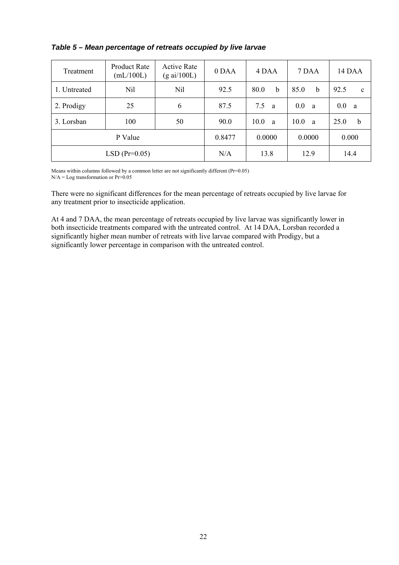| Treatment       | <b>Product Rate</b><br>(mL/100L) | <b>Active Rate</b><br>$(g \text{ ai}/100L)$ | 0 DAA  | 4 DAA               | 7 DAA     | 14 DAA               |
|-----------------|----------------------------------|---------------------------------------------|--------|---------------------|-----------|----------------------|
| 1. Untreated    | Nil                              | <b>Nil</b>                                  | 92.5   | 80.0<br>b           | 85.0<br>b | 92.5<br>$\mathbf{c}$ |
| 2. Prodigy      | 25                               | 6                                           | 87.5   | 7.5<br><sub>a</sub> | 0.0<br>a  | $0.0\,$<br>a         |
| 3. Lorsban      | 100                              | 50                                          | 90.0   | 10.0<br>a           | 10.0<br>a | $\mathbf b$<br>25.0  |
| P Value         |                                  | 0.8477                                      | 0.0000 | 0.0000              | 0.000     |                      |
| $LSD$ (Pr=0.05) |                                  | N/A                                         | 13.8   | 12.9                | 14.4      |                      |

#### *Table 5 – Mean percentage of retreats occupied by live larvae*

Means within columns followed by a common letter are not significantly different (Pr=0.05)  $N/A =$  Log transformation or Pr>0.05

There were no significant differences for the mean percentage of retreats occupied by live larvae for any treatment prior to insecticide application.

At 4 and 7 DAA, the mean percentage of retreats occupied by live larvae was significantly lower in both insecticide treatments compared with the untreated control. At 14 DAA, Lorsban recorded a significantly higher mean number of retreats with live larvae compared with Prodigy, but a significantly lower percentage in comparison with the untreated control.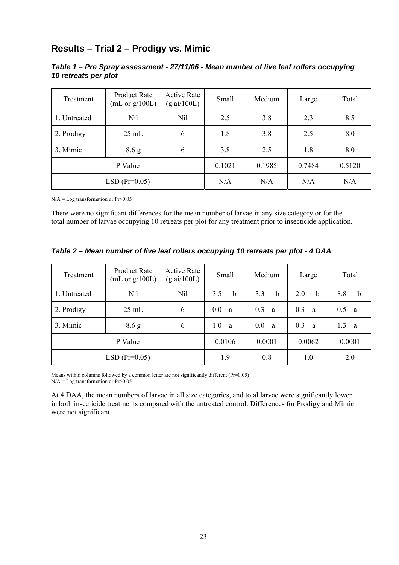### <span id="page-30-0"></span>**Results – Trial 2 – Prodigy vs. Mimic**

| Treatment       | <b>Product Rate</b><br>$(mL \text{ or } g/100L)$ | <b>Active Rate</b><br>$(g \text{ ai}/100L)$ | Small  | Medium | Large  | Total  |
|-----------------|--------------------------------------------------|---------------------------------------------|--------|--------|--------|--------|
| 1. Untreated    | Nil                                              | <b>Nil</b>                                  | 2.5    | 3.8    | 2.3    | 8.5    |
| 2. Prodigy      | $25 \text{ mL}$                                  | 6                                           | 1.8    | 3.8    | 2.5    | 8.0    |
| 3. Mimic        | 8.6 g                                            | 6                                           | 3.8    | 2.5    | 1.8    | 8.0    |
| P Value         |                                                  |                                             | 0.1021 | 0.1985 | 0.7484 | 0.5120 |
| $LSD$ (Pr=0.05) |                                                  |                                             | N/A    | N/A    | N/A    | N/A    |

#### *Table 1 – Pre Spray assessment - 27/11/06 - Mean number of live leaf rollers occupying 10 retreats per plot*

N/A = Log transformation or Pr>0.05

There were no significant differences for the mean number of larvae in any size category or for the total number of larvae occupying 10 retreats per plot for any treatment prior to insecticide application.

| Table 2 - Mean number of live leaf rollers occupying 10 retreats per plot - 4 DAA |  |
|-----------------------------------------------------------------------------------|--|
|-----------------------------------------------------------------------------------|--|

| Treatment       | <b>Product Rate</b><br>(mL or g/100L) | <b>Active Rate</b><br>$(g \text{ ai}/100L)$ | Small              | Medium   | Large               | Total    |
|-----------------|---------------------------------------|---------------------------------------------|--------------------|----------|---------------------|----------|
| 1. Untreated    | Nil                                   | Nil                                         | 3.5<br>$\mathbf b$ | 3.3<br>b | 2.0<br>$\mathbf b$  | b<br>8.8 |
| 2. Prodigy      | $25 \text{ mL}$                       | 6                                           | 0.0<br>a           | 0.3<br>a | 0.3<br><sup>a</sup> | 0.5<br>a |
| 3. Mimic        | 8.6 g                                 | 6                                           | 1.0<br>a           | 0.0<br>a | 0.3<br><sub>a</sub> | 1.3<br>a |
| P Value         |                                       | 0.0106                                      | 0.0001             | 0.0062   | 0.0001              |          |
| $LSD$ (Pr=0.05) |                                       | 1.9                                         | 0.8                | 1.0      | 2.0                 |          |

Means within columns followed by a common letter are not significantly different (Pr=0.05)  $N/A =$  Log transformation or Pr>0.05

At 4 DAA, the mean numbers of larvae in all size categories, and total larvae were significantly lower in both insecticide treatments compared with the untreated control. Differences for Prodigy and Mimic were not significant.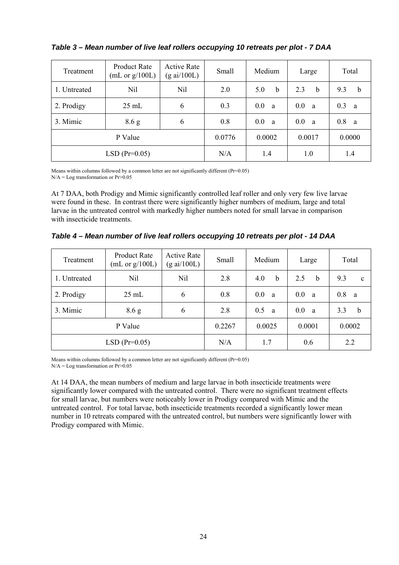| Treatment       | <b>Product Rate</b><br>$(mL \text{ or } g/100L)$ | <b>Active Rate</b><br>$(g \text{ ai}/100L)$ | Small  | Medium   | Large              | Total              |
|-----------------|--------------------------------------------------|---------------------------------------------|--------|----------|--------------------|--------------------|
| 1. Untreated    | Nil                                              | Nil                                         | 2.0    | 5.0<br>b | 2.3<br>$\mathbf b$ | 9.3<br>$\mathbf b$ |
| 2. Prodigy      | $25 \text{ mL}$                                  | 6                                           | 0.3    | 0.0<br>a | 0.0<br>a           | 0.3<br>a           |
| 3. Mimic        | 8.6 <sub>g</sub>                                 | 6                                           | 0.8    | 0.0<br>a | 0.0<br>a           | 0.8<br>a           |
| P Value         |                                                  | 0.0776                                      | 0.0002 | 0.0017   | 0.0000             |                    |
| $LSD$ (Pr=0.05) |                                                  | N/A                                         | 1.4    | 1.0      | 1.4                |                    |

#### *Table 3 – Mean number of live leaf rollers occupying 10 retreats per plot - 7 DAA*

Means within columns followed by a common letter are not significantly different (Pr=0.05)  $N/A =$  Log transformation or Pr>0.05

At 7 DAA, both Prodigy and Mimic significantly controlled leaf roller and only very few live larvae were found in these. In contrast there were significantly higher numbers of medium, large and total larvae in the untreated control with markedly higher numbers noted for small larvae in comparison with insecticide treatments.

|           |                                                                                  | .     |        |      |     |
|-----------|----------------------------------------------------------------------------------|-------|--------|------|-----|
| Treatment | Product Rate   Active Rate  <br>$(\ldots L_{\cdots 1} - (100L) + (\ldots 100L))$ | Small | Medium | arge | Tot |

*Table 4 – Mean number of live leaf rollers occupying 10 retreats per plot - 14 DAA* 

| Treatment       | <b>Product Rate</b><br>$(mL \text{ or } g/100L)$ | <b>Active Rate</b><br>$(g \text{ ai}/100L)$ | Small  | Medium    | Large                   | Total               |
|-----------------|--------------------------------------------------|---------------------------------------------|--------|-----------|-------------------------|---------------------|
| 1. Untreated    | Nil                                              | Nil                                         | 2.8    | b<br>4.0  | $\mathbf b$<br>2.5      | 9.3<br>$\mathbf{c}$ |
| 2. Prodigy      | $25 \text{ mL}$                                  | 6                                           | 0.8    | 0.0<br>a  | $0.0\,$<br><sub>a</sub> | 0.8<br><sub>a</sub> |
| 3. Mimic        | 8.6 g                                            | 6                                           | 2.8    | 0.5<br>a. | $0.0\,$<br><sub>a</sub> | 3.3<br>b            |
| P Value         |                                                  | 0.2267                                      | 0.0025 | 0.0001    | 0.0002                  |                     |
| $LSD$ (Pr=0.05) |                                                  | N/A                                         | 1.7    | 0.6       | 2.2                     |                     |

Means within columns followed by a common letter are not significantly different (Pr=0.05)  $N/A =$  Log transformation or Pr>0.05

At 14 DAA, the mean numbers of medium and large larvae in both insecticide treatments were significantly lower compared with the untreated control. There were no significant treatment effects for small larvae, but numbers were noticeably lower in Prodigy compared with Mimic and the untreated control. For total larvae, both insecticide treatments recorded a significantly lower mean number in 10 retreats compared with the untreated control, but numbers were significantly lower with Prodigy compared with Mimic.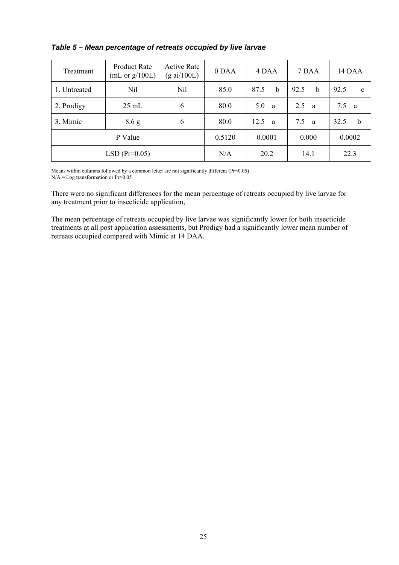| Treatment       | <b>Product Rate</b><br>$(mL \text{ or } g/100L)$ | <b>Active Rate</b><br>$(g \text{ ai}/100L)$ | 0 DAA  | 4 DAA                | 7 DAA                         | 14 DAA               |
|-----------------|--------------------------------------------------|---------------------------------------------|--------|----------------------|-------------------------------|----------------------|
| 1. Untreated    | Nil                                              | Nil                                         | 85.0   | 87.5<br>b            | 92.5<br>b                     | 92.5<br>$\mathbf{c}$ |
| 2. Prodigy      | $25 \text{ mL}$                                  | 6                                           | 80.0   | 5.0<br><sub>a</sub>  | $2.5^{\circ}$<br><sub>a</sub> | 7.5<br><sub>a</sub>  |
| 3. Mimic        | 8.6 g                                            | 6                                           | 80.0   | 12.5<br><sub>a</sub> | 7.5<br>a                      | $\mathbf b$<br>32.5  |
| P Value         |                                                  | 0.5120                                      | 0.0001 | 0.000                | 0.0002                        |                      |
| $LSD$ (Pr=0.05) |                                                  | N/A                                         | 20.2   | 14.1                 | 22.3                          |                      |

#### *Table 5 – Mean percentage of retreats occupied by live larvae*

Means within columns followed by a common letter are not significantly different (Pr=0.05)  $N/A =$  Log transformation or Pr>0.05

There were no significant differences for the mean percentage of retreats occupied by live larvae for any treatment prior to insecticide application,

The mean percentage of retreats occupied by live larvae was significantly lower for both insecticide treatments at all post application assessments, but Prodigy had a significantly lower mean number of retreats occupied compared with Mimic at 14 DAA.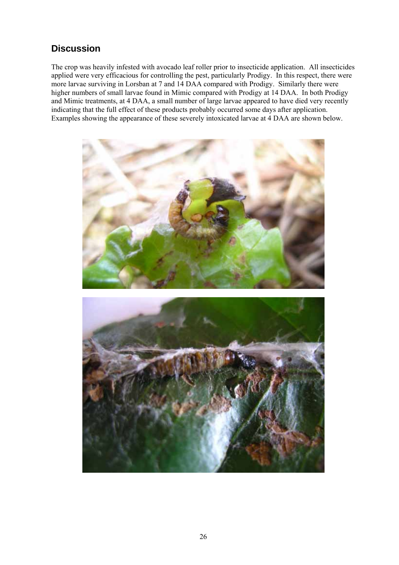## <span id="page-33-0"></span>**Discussion**

The crop was heavily infested with avocado leaf roller prior to insecticide application. All insecticides applied were very efficacious for controlling the pest, particularly Prodigy. In this respect, there were more larvae surviving in Lorsban at 7 and 14 DAA compared with Prodigy. Similarly there were higher numbers of small larvae found in Mimic compared with Prodigy at 14 DAA. In both Prodigy and Mimic treatments, at 4 DAA, a small number of large larvae appeared to have died very recently indicating that the full effect of these products probably occurred some days after application. Examples showing the appearance of these severely intoxicated larvae at 4 DAA are shown below.

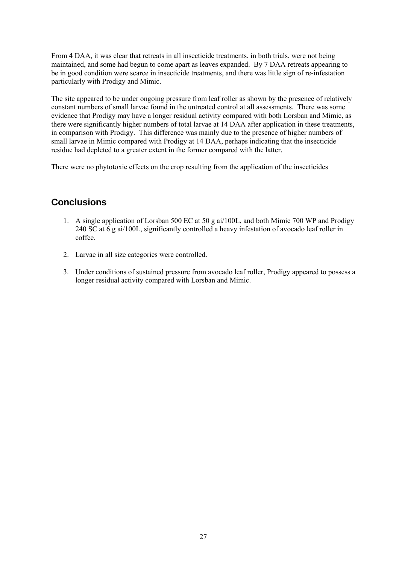<span id="page-34-0"></span>From 4 DAA, it was clear that retreats in all insecticide treatments, in both trials, were not being maintained, and some had begun to come apart as leaves expanded. By 7 DAA retreats appearing to be in good condition were scarce in insecticide treatments, and there was little sign of re-infestation particularly with Prodigy and Mimic.

The site appeared to be under ongoing pressure from leaf roller as shown by the presence of relatively constant numbers of small larvae found in the untreated control at all assessments. There was some evidence that Prodigy may have a longer residual activity compared with both Lorsban and Mimic, as there were significantly higher numbers of total larvae at 14 DAA after application in these treatments, in comparison with Prodigy. This difference was mainly due to the presence of higher numbers of small larvae in Mimic compared with Prodigy at 14 DAA, perhaps indicating that the insecticide residue had depleted to a greater extent in the former compared with the latter.

There were no phytotoxic effects on the crop resulting from the application of the insecticides

## **Conclusions**

- 1. A single application of Lorsban 500 EC at 50 g ai/100L, and both Mimic 700 WP and Prodigy 240 SC at 6 g ai/100L, significantly controlled a heavy infestation of avocado leaf roller in coffee.
- 2. Larvae in all size categories were controlled.
- 3. Under conditions of sustained pressure from avocado leaf roller, Prodigy appeared to possess a longer residual activity compared with Lorsban and Mimic.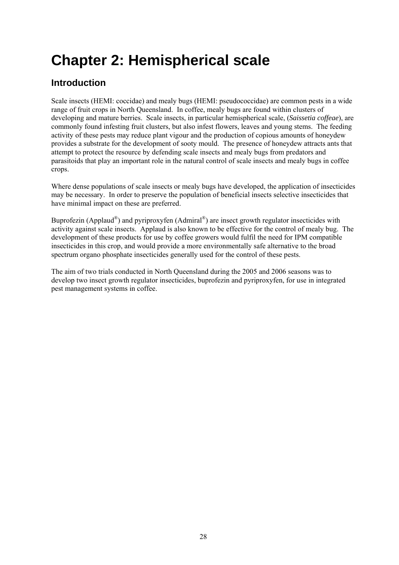## <span id="page-35-0"></span>**Chapter 2: Hemispherical scale**

## **Introduction**

Scale insects (HEMI: coccidae) and mealy bugs (HEMI: pseudococcidae) are common pests in a wide range of fruit crops in North Queensland. In coffee, mealy bugs are found within clusters of developing and mature berries. Scale insects, in particular hemispherical scale, (*Saissetia coffeae*), are commonly found infesting fruit clusters, but also infest flowers, leaves and young stems. The feeding activity of these pests may reduce plant vigour and the production of copious amounts of honeydew provides a substrate for the development of sooty mould. The presence of honeydew attracts ants that attempt to protect the resource by defending scale insects and mealy bugs from predators and parasitoids that play an important role in the natural control of scale insects and mealy bugs in coffee crops.

Where dense populations of scale insects or mealy bugs have developed, the application of insecticides may be necessary. In order to preserve the population of beneficial insects selective insecticides that have minimal impact on these are preferred.

Buprofezin (Applaud<sup>®</sup>) and pyriproxyfen (Admiral<sup>®</sup>) are insect growth regulator insecticides with activity against scale insects. Applaud is also known to be effective for the control of mealy bug. The development of these products for use by coffee growers would fulfil the need for IPM compatible insecticides in this crop, and would provide a more environmentally safe alternative to the broad spectrum organo phosphate insecticides generally used for the control of these pests.

The aim of two trials conducted in North Queensland during the 2005 and 2006 seasons was to develop two insect growth regulator insecticides, buprofezin and pyriproxyfen, for use in integrated pest management systems in coffee.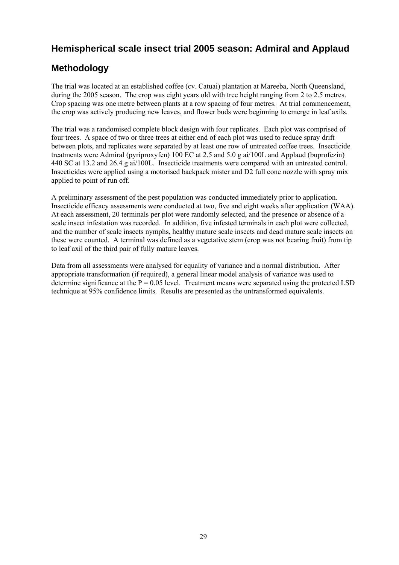## <span id="page-36-0"></span>**Hemispherical scale insect trial 2005 season: Admiral and Applaud**

## **Methodology**

The trial was located at an established coffee (cv. Catuai) plantation at Mareeba, North Queensland, during the 2005 season. The crop was eight years old with tree height ranging from 2 to 2.5 metres. Crop spacing was one metre between plants at a row spacing of four metres. At trial commencement, the crop was actively producing new leaves, and flower buds were beginning to emerge in leaf axils.

The trial was a randomised complete block design with four replicates. Each plot was comprised of four trees. A space of two or three trees at either end of each plot was used to reduce spray drift between plots, and replicates were separated by at least one row of untreated coffee trees. Insecticide treatments were Admiral (pyriproxyfen) 100 EC at 2.5 and 5.0 g ai/100L and Applaud (buprofezin) 440 SC at 13.2 and 26.4 g ai/100L. Insecticide treatments were compared with an untreated control. Insecticides were applied using a motorised backpack mister and D2 full cone nozzle with spray mix applied to point of run off.

A preliminary assessment of the pest population was conducted immediately prior to application. Insecticide efficacy assessments were conducted at two, five and eight weeks after application (WAA). At each assessment, 20 terminals per plot were randomly selected, and the presence or absence of a scale insect infestation was recorded. In addition, five infested terminals in each plot were collected, and the number of scale insects nymphs, healthy mature scale insects and dead mature scale insects on these were counted. A terminal was defined as a vegetative stem (crop was not bearing fruit) from tip to leaf axil of the third pair of fully mature leaves.

Data from all assessments were analysed for equality of variance and a normal distribution. After appropriate transformation (if required), a general linear model analysis of variance was used to determine significance at the  $P = 0.05$  level. Treatment means were separated using the protected LSD technique at 95% confidence limits. Results are presented as the untransformed equivalents.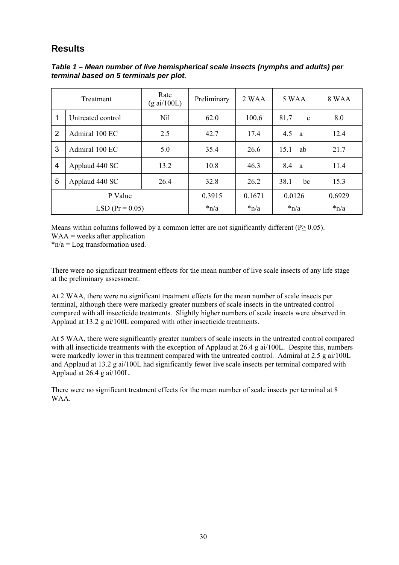### <span id="page-37-0"></span>**Results**

| Treatment |                   | Rate<br>$(g \text{ ai}/100L)$ | Preliminary | 2 WAA     | 5 WAA                | <b>8 WAA</b> |
|-----------|-------------------|-------------------------------|-------------|-----------|----------------------|--------------|
| 1         | Untreated control | Nil                           | 62.0        | 100.6     | 81.7<br>$\mathbf{c}$ | 8.0          |
| 2         | Admiral 100 EC    | 2.5                           | 42.7        | 17.4      | 4.5<br><sub>a</sub>  | 12.4         |
| 3         | Admiral 100 EC    | 5.0                           | 35.4        | 26.6      | 15.1<br>ab           | 21.7         |
| 4         | Applaud 440 SC    | 13.2                          | 10.8        | 46.3      | 8.4<br>a             | 11.4         |
| 5         | Applaud 440 SC    | 26.4                          | 32.8        | 26.2      | 38.1<br>bc           | 15.3         |
| P Value   |                   |                               | 0.3915      | 0.1671    | 0.0126               | 0.6929       |
|           | $LSD (Pr = 0.05)$ |                               | $*_{n/a}$   | $*_{n/a}$ | n/a                  | $*_{n/a}$    |

#### *Table 1 – Mean number of live hemispherical scale insects (nymphs and adults) per terminal based on 5 terminals per plot.*

Means within columns followed by a common letter are not significantly different  $(P>0.05)$ .

 $WAA$  = weeks after application

 $n/a =$ Log transformation used.

There were no significant treatment effects for the mean number of live scale insects of any life stage at the preliminary assessment.

At 2 WAA, there were no significant treatment effects for the mean number of scale insects per terminal, although there were markedly greater numbers of scale insects in the untreated control compared with all insecticide treatments. Slightly higher numbers of scale insects were observed in Applaud at 13.2 g ai/100L compared with other insecticide treatments.

At 5 WAA, there were significantly greater numbers of scale insects in the untreated control compared with all insecticide treatments with the exception of Applaud at 26.4 g ai/100L. Despite this, numbers were markedly lower in this treatment compared with the untreated control. Admiral at 2.5 g ai/100L and Applaud at 13.2 g ai/100L had significantly fewer live scale insects per terminal compared with Applaud at 26.4 g ai/100L.

There were no significant treatment effects for the mean number of scale insects per terminal at 8 WAA.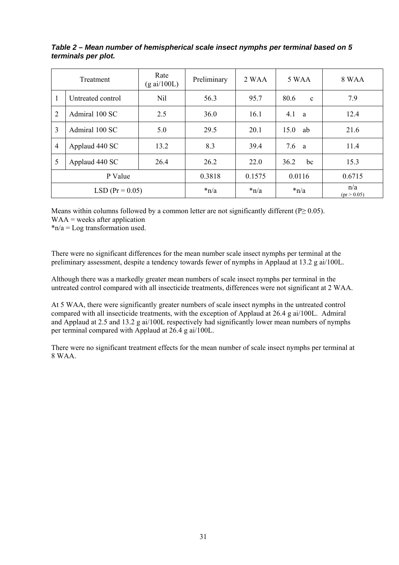|                   | Treatment         | Rate<br>$(g \text{ ai}/100L)$ | Preliminary | 2 WAA     | 5 WAA                | <b>8 WAA</b> |
|-------------------|-------------------|-------------------------------|-------------|-----------|----------------------|--------------|
| 1                 | Untreated control | <b>Nil</b>                    | 56.3        | 95.7      | 80.6<br>$\mathbf{c}$ | 7.9          |
| 2                 | Admiral 100 SC    | 2.5                           | 36.0        | 16.1      | 4.1<br>a             | 12.4         |
| 3                 | Admiral 100 SC    | 5.0                           | 29.5        | 20.1      | 15.0<br>ab           | 21.6         |
| $\overline{4}$    | Applaud 440 SC    | 13.2                          | 8.3         | 39.4      | $7.6 \text{ a}$      | 11.4         |
| 5                 | Applaud 440 SC    | 26.4                          | 26.2        | 22.0      | 36.2<br>bc           | 15.3         |
| P Value           |                   | 0.3818                        | 0.1575      | 0.0116    | 0.6715               |              |
| $LSD (Pr = 0.05)$ |                   | $*_{n/a}$                     | $*_{n/a}$   | $*_{n/a}$ | n/a<br>(pr > 0.05)   |              |

*Table 2 – Mean number of hemispherical scale insect nymphs per terminal based on 5 terminals per plot.* 

Means within columns followed by a common letter are not significantly different  $(P>0.05)$ .

 $WAA$  = weeks after application

 $n/a =$ Log transformation used.

There were no significant differences for the mean number scale insect nymphs per terminal at the preliminary assessment, despite a tendency towards fewer of nymphs in Applaud at 13.2 g ai/100L.

Although there was a markedly greater mean numbers of scale insect nymphs per terminal in the untreated control compared with all insecticide treatments, differences were not significant at 2 WAA.

At 5 WAA, there were significantly greater numbers of scale insect nymphs in the untreated control compared with all insecticide treatments, with the exception of Applaud at 26.4 g ai/100L. Admiral and Applaud at 2.5 and 13.2 g ai/100L respectively had significantly lower mean numbers of nymphs per terminal compared with Applaud at 26.4 g ai/100L.

There were no significant treatment effects for the mean number of scale insect nymphs per terminal at 8 WAA.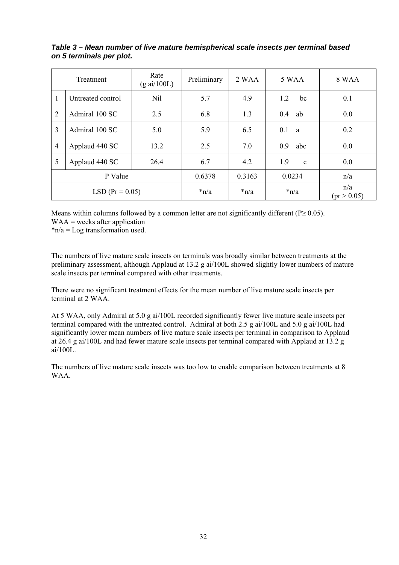| Treatment         |                   | Rate<br>$(g \text{ ai}/100L)$ | Preliminary | 2 WAA     | 5 WAA               | <b>8 WAA</b> |
|-------------------|-------------------|-------------------------------|-------------|-----------|---------------------|--------------|
| 1                 | Untreated control | Nil                           | 5.7         | 4.9       | 1.2<br>bc           | 0.1          |
| $\overline{2}$    | Admiral 100 SC    | 2.5                           | 6.8         | 1.3       | 0.4<br>ab           | 0.0          |
| 3                 | Admiral 100 SC    | 5.0                           | 5.9         | 6.5       | 0.1<br><sub>a</sub> | 0.2          |
| $\overline{4}$    | Applaud 440 SC    | 13.2                          | 2.5         | 7.0       | 0.9<br>abc          | 0.0          |
| 5                 | Applaud 440 SC    | 26.4                          | 6.7         | 4.2       | 1.9<br>$\mathbf{c}$ | 0.0          |
| P Value           |                   | 0.6378                        | 0.3163      | 0.0234    | n/a                 |              |
| $LSD (Pr = 0.05)$ |                   | $*_{n/a}$                     | n/a         | $*_{n/a}$ | n/a<br>(pr > 0.05)  |              |

*Table 3 – Mean number of live mature hemispherical scale insects per terminal based on 5 terminals per plot.* 

Means within columns followed by a common letter are not significantly different ( $P \ge 0.05$ ).

 $WAA$  = weeks after application

 $n/a =$ Log transformation used.

The numbers of live mature scale insects on terminals was broadly similar between treatments at the preliminary assessment, although Applaud at 13.2 g ai/100L showed slightly lower numbers of mature scale insects per terminal compared with other treatments.

There were no significant treatment effects for the mean number of live mature scale insects per terminal at 2 WAA.

At 5 WAA, only Admiral at 5.0 g ai/100L recorded significantly fewer live mature scale insects per terminal compared with the untreated control. Admiral at both 2.5 g ai/100L and 5.0 g ai/100L had significantly lower mean numbers of live mature scale insects per terminal in comparison to Applaud at 26.4 g ai/100L and had fewer mature scale insects per terminal compared with Applaud at 13.2 g ai/100L.

The numbers of live mature scale insects was too low to enable comparison between treatments at 8 WAA.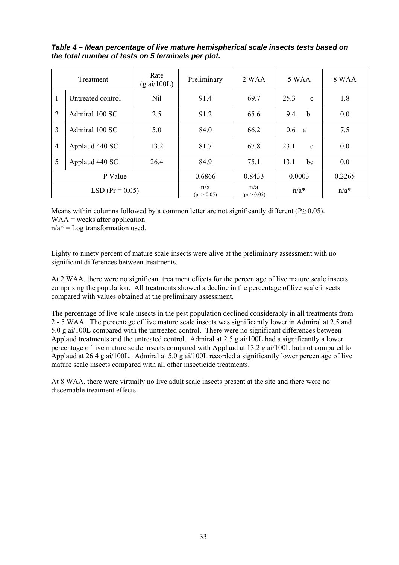*Table 4 – Mean percentage of live mature hemispherical scale insects tests based on the total number of tests on 5 terminals per plot.* 

|                   | Treatment         | Rate<br>$(g \text{ ai}/100L)$ | Preliminary        | 2 WAA  | 5 WAA                | <b>8 WAA</b> |
|-------------------|-------------------|-------------------------------|--------------------|--------|----------------------|--------------|
| 1                 | Untreated control | Nil                           | 91.4               | 69.7   | 25.3<br>$\mathbf{c}$ | 1.8          |
| $\overline{2}$    | Admiral 100 SC    | 2.5                           | 91.2               | 65.6   | $\mathbf b$<br>9.4   | 0.0          |
| 3                 | Admiral 100 SC    | 5.0                           | 84.0               | 66.2   | 0.6<br><sub>a</sub>  | 7.5          |
| $\overline{4}$    | Applaud 440 SC    | 13.2                          | 81.7               | 67.8   | 23.1<br>$\mathbf{c}$ | 0.0          |
| 5                 | Applaud 440 SC    | 26.4                          | 84.9               | 75.1   | 13.1<br>bc           | 0.0          |
| P Value           |                   | 0.6866                        | 0.8433             | 0.0003 | 0.2265               |              |
| $LSD (Pr = 0.05)$ |                   | n/a<br>(pr > 0.05)            | n/a<br>(pr > 0.05) | $n/a*$ | $n/a^*$              |              |

Means within columns followed by a common letter are not significantly different  $(P>0.05)$ .

 $WAA$  = weeks after application

 $n/a^*$  = Log transformation used.

Eighty to ninety percent of mature scale insects were alive at the preliminary assessment with no significant differences between treatments.

At 2 WAA, there were no significant treatment effects for the percentage of live mature scale insects comprising the population. All treatments showed a decline in the percentage of live scale insects compared with values obtained at the preliminary assessment.

The percentage of live scale insects in the pest population declined considerably in all treatments from 2 - 5 WAA. The percentage of live mature scale insects was significantly lower in Admiral at 2.5 and 5.0 g ai/100L compared with the untreated control. There were no significant differences between Applaud treatments and the untreated control. Admiral at 2.5 g ai/100L had a significantly a lower percentage of live mature scale insects compared with Applaud at 13.2 g ai/100L but not compared to Applaud at 26.4 g ai/100L. Admiral at 5.0 g ai/100L recorded a significantly lower percentage of live mature scale insects compared with all other insecticide treatments.

At 8 WAA, there were virtually no live adult scale insects present at the site and there were no discernable treatment effects.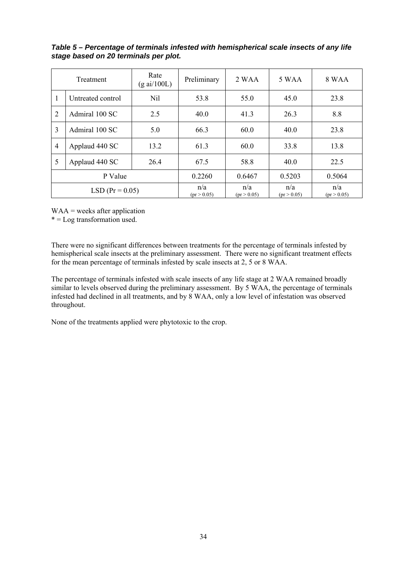*Table 5 – Percentage of terminals infested with hemispherical scale insects of any life stage based on 20 terminals per plot.* 

|                   | Treatment         | Rate<br>$(g \text{ ai}/100L)$ | Preliminary        | 2 WAA              | 5 WAA              | <b>8 WAA</b> |
|-------------------|-------------------|-------------------------------|--------------------|--------------------|--------------------|--------------|
| 1                 | Untreated control | <b>Nil</b>                    | 53.8               | 55.0               | 45.0               | 23.8         |
| $\overline{2}$    | Admiral 100 SC    | 2.5                           | 40.0               | 41.3               | 26.3               | 8.8          |
| 3                 | Admiral 100 SC    | 5.0                           | 66.3               | 60.0               | 40.0               | 23.8         |
| $\overline{4}$    | Applaud 440 SC    | 13.2                          | 61.3               | 60.0               | 33.8               | 13.8         |
| 5                 | Applaud 440 SC    | 26.4                          | 67.5               | 58.8               | 40.0               | 22.5         |
| P Value           |                   | 0.2260                        | 0.6467             | 0.5203             | 0.5064             |              |
| $LSD (Pr = 0.05)$ |                   | n/a<br>(pr > 0.05)            | n/a<br>(pr > 0.05) | n/a<br>(pr > 0.05) | n/a<br>(pr > 0.05) |              |

 $* =$ Log transformation used.

There were no significant differences between treatments for the percentage of terminals infested by hemispherical scale insects at the preliminary assessment. There were no significant treatment effects for the mean percentage of terminals infested by scale insects at 2, 5 or 8 WAA.

The percentage of terminals infested with scale insects of any life stage at 2 WAA remained broadly similar to levels observed during the preliminary assessment. By 5 WAA, the percentage of terminals infested had declined in all treatments, and by 8 WAA, only a low level of infestation was observed throughout.

None of the treatments applied were phytotoxic to the crop.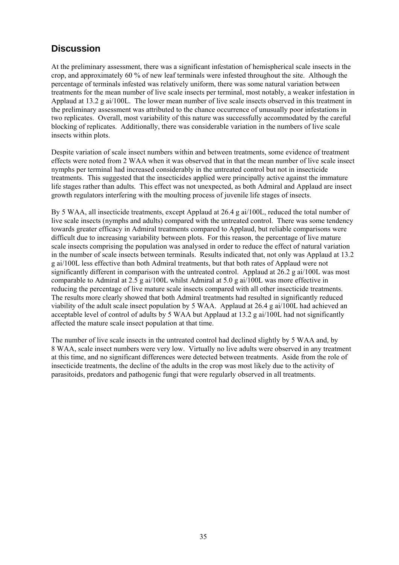## <span id="page-42-0"></span>**Discussion**

At the preliminary assessment, there was a significant infestation of hemispherical scale insects in the crop, and approximately 60 % of new leaf terminals were infested throughout the site. Although the percentage of terminals infested was relatively uniform, there was some natural variation between treatments for the mean number of live scale insects per terminal, most notably, a weaker infestation in Applaud at 13.2 g ai/100L. The lower mean number of live scale insects observed in this treatment in the preliminary assessment was attributed to the chance occurrence of unusually poor infestations in two replicates. Overall, most variability of this nature was successfully accommodated by the careful blocking of replicates. Additionally, there was considerable variation in the numbers of live scale insects within plots.

Despite variation of scale insect numbers within and between treatments, some evidence of treatment effects were noted from 2 WAA when it was observed that in that the mean number of live scale insect nymphs per terminal had increased considerably in the untreated control but not in insecticide treatments. This suggested that the insecticides applied were principally active against the immature life stages rather than adults. This effect was not unexpected, as both Admiral and Applaud are insect growth regulators interfering with the moulting process of juvenile life stages of insects.

By 5 WAA, all insecticide treatments, except Applaud at 26.4 g ai/100L, reduced the total number of live scale insects (nymphs and adults) compared with the untreated control. There was some tendency towards greater efficacy in Admiral treatments compared to Applaud, but reliable comparisons were difficult due to increasing variability between plots. For this reason, the percentage of live mature scale insects comprising the population was analysed in order to reduce the effect of natural variation in the number of scale insects between terminals. Results indicated that, not only was Applaud at 13.2 g ai/100L less effective than both Admiral treatments, but that both rates of Applaud were not significantly different in comparison with the untreated control. Applaud at 26.2 g ai/100L was most comparable to Admiral at 2.5 g ai/100L whilst Admiral at 5.0 g ai/100L was more effective in reducing the percentage of live mature scale insects compared with all other insecticide treatments. The results more clearly showed that both Admiral treatments had resulted in significantly reduced viability of the adult scale insect population by 5 WAA. Applaud at 26.4 g ai/100L had achieved an acceptable level of control of adults by 5 WAA but Applaud at 13.2 g ai/100L had not significantly affected the mature scale insect population at that time.

The number of live scale insects in the untreated control had declined slightly by 5 WAA and, by 8 WAA, scale insect numbers were very low. Virtually no live adults were observed in any treatment at this time, and no significant differences were detected between treatments. Aside from the role of insecticide treatments, the decline of the adults in the crop was most likely due to the activity of parasitoids, predators and pathogenic fungi that were regularly observed in all treatments.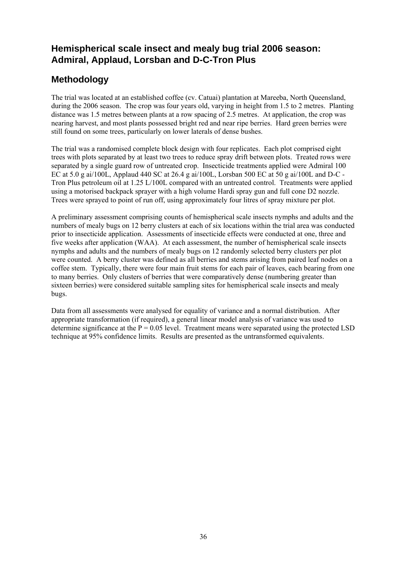## <span id="page-43-0"></span>**Hemispherical scale insect and mealy bug trial 2006 season: Admiral, Applaud, Lorsban and D-C-Tron Plus**

## **Methodology**

The trial was located at an established coffee (cv. Catuai) plantation at Mareeba, North Queensland, during the 2006 season. The crop was four years old, varying in height from 1.5 to 2 metres. Planting distance was 1.5 metres between plants at a row spacing of 2.5 metres. At application, the crop was nearing harvest, and most plants possessed bright red and near ripe berries. Hard green berries were still found on some trees, particularly on lower laterals of dense bushes.

The trial was a randomised complete block design with four replicates. Each plot comprised eight trees with plots separated by at least two trees to reduce spray drift between plots. Treated rows were separated by a single guard row of untreated crop. Insecticide treatments applied were Admiral 100 EC at 5.0 g ai/100L, Applaud 440 SC at  $26.4$  g ai/100L, Lorsban 500 EC at 50 g ai/100L and D-C -Tron Plus petroleum oil at 1.25 L/100L compared with an untreated control. Treatments were applied using a motorised backpack sprayer with a high volume Hardi spray gun and full cone D2 nozzle. Trees were sprayed to point of run off, using approximately four litres of spray mixture per plot.

A preliminary assessment comprising counts of hemispherical scale insects nymphs and adults and the numbers of mealy bugs on 12 berry clusters at each of six locations within the trial area was conducted prior to insecticide application. Assessments of insecticide effects were conducted at one, three and five weeks after application (WAA). At each assessment, the number of hemispherical scale insects nymphs and adults and the numbers of mealy bugs on 12 randomly selected berry clusters per plot were counted. A berry cluster was defined as all berries and stems arising from paired leaf nodes on a coffee stem. Typically, there were four main fruit stems for each pair of leaves, each bearing from one to many berries. Only clusters of berries that were comparatively dense (numbering greater than sixteen berries) were considered suitable sampling sites for hemispherical scale insects and mealy bugs.

Data from all assessments were analysed for equality of variance and a normal distribution. After appropriate transformation (if required), a general linear model analysis of variance was used to determine significance at the  $P = 0.05$  level. Treatment means were separated using the protected LSD technique at 95% confidence limits. Results are presented as the untransformed equivalents.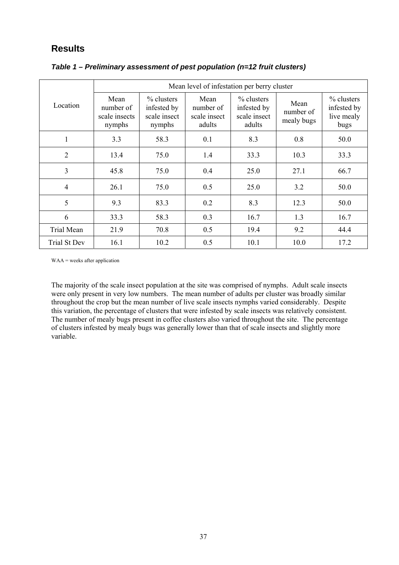### <span id="page-44-0"></span>**Results**

|                     | Mean level of infestation per berry cluster  |                                                     |                                             |                                                       |                                 |                                                 |  |
|---------------------|----------------------------------------------|-----------------------------------------------------|---------------------------------------------|-------------------------------------------------------|---------------------------------|-------------------------------------------------|--|
| Location            | Mean<br>number of<br>scale insects<br>nymphs | % clusters<br>infested by<br>scale insect<br>nymphs | Mean<br>number of<br>scale insect<br>adults | $%$ clusters<br>infested by<br>scale insect<br>adults | Mean<br>number of<br>mealy bugs | % clusters<br>infested by<br>live mealy<br>bugs |  |
| 1                   | 3.3                                          | 58.3                                                | 0.1                                         | 8.3                                                   | 0.8                             | 50.0                                            |  |
| $\overline{2}$      | 13.4                                         | 75.0                                                | 1.4                                         | 33.3                                                  | 10.3                            | 33.3                                            |  |
| 3                   | 45.8                                         | 75.0                                                | 0.4                                         | 25.0                                                  | 27.1                            | 66.7                                            |  |
| $\overline{4}$      | 26.1                                         | 75.0                                                | 0.5                                         | 25.0                                                  | 3.2                             | 50.0                                            |  |
| 5                   | 9.3                                          | 83.3                                                | 0.2                                         | 8.3                                                   | 12.3                            | 50.0                                            |  |
| 6                   | 33.3                                         | 58.3                                                | 0.3                                         | 16.7                                                  | 1.3                             | 16.7                                            |  |
| Trial Mean          | 21.9                                         | 70.8                                                | 0.5                                         | 19.4                                                  | 9.2                             | 44.4                                            |  |
| <b>Trial St Dev</b> | 16.1                                         | 10.2                                                | 0.5                                         | 10.1                                                  | 10.0                            | 17.2                                            |  |

*Table 1 – Preliminary assessment of pest population (n=12 fruit clusters)* 

 $WAA$  = weeks after application

The majority of the scale insect population at the site was comprised of nymphs. Adult scale insects were only present in very low numbers. The mean number of adults per cluster was broadly similar throughout the crop but the mean number of live scale insects nymphs varied considerably. Despite this variation, the percentage of clusters that were infested by scale insects was relatively consistent. The number of mealy bugs present in coffee clusters also varied throughout the site. The percentage of clusters infested by mealy bugs was generally lower than that of scale insects and slightly more variable.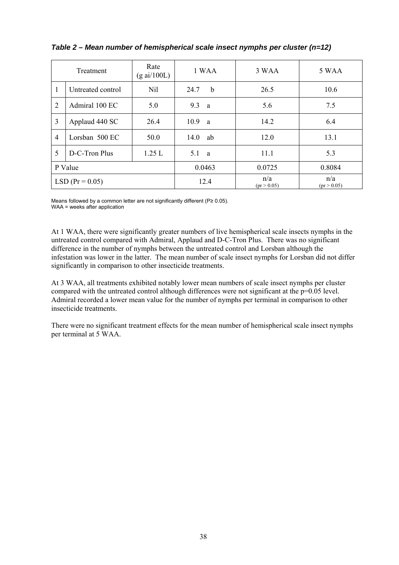|                   | Treatment         | Rate<br>$(g \text{ ai}/100L)$ | 1 WAA                | 3 WAA              | 5 WAA              |
|-------------------|-------------------|-------------------------------|----------------------|--------------------|--------------------|
| 1                 | Untreated control | <b>Nil</b>                    | b<br>24.7            | 26.5               | 10.6               |
| 2                 | Admiral 100 EC    | 5.0                           | 9.3<br>a             | 5.6                | 7.5                |
| 3                 | Applaud 440 SC    | 26.4                          | 10.9<br><sub>a</sub> | 14.2               | 6.4                |
| $\overline{4}$    | Lorsban 500 EC    | 50.0                          | 14.0<br>ab           | 12.0               | 13.1               |
| 5                 | D-C-Tron Plus     | 1.25L                         | 5.1<br><sub>a</sub>  | 11.1               | 5.3                |
| P Value           |                   |                               | 0.0463               | 0.0725             | 0.8084             |
| $LSD (Pr = 0.05)$ |                   |                               | 12.4                 | n/a<br>(pr > 0.05) | n/a<br>(pr > 0.05) |

#### *Table 2 – Mean number of hemispherical scale insect nymphs per cluster (n=12)*

Means followed by a common letter are not significantly different (P≥ 0.05). WAA = weeks after application

At 1 WAA, there were significantly greater numbers of live hemispherical scale insects nymphs in the untreated control compared with Admiral, Applaud and D-C-Tron Plus. There was no significant difference in the number of nymphs between the untreated control and Lorsban although the infestation was lower in the latter. The mean number of scale insect nymphs for Lorsban did not differ significantly in comparison to other insecticide treatments.

At 3 WAA, all treatments exhibited notably lower mean numbers of scale insect nymphs per cluster compared with the untreated control although differences were not significant at the p=0.05 level. Admiral recorded a lower mean value for the number of nymphs per terminal in comparison to other insecticide treatments.

There were no significant treatment effects for the mean number of hemispherical scale insect nymphs per terminal at 5 WAA.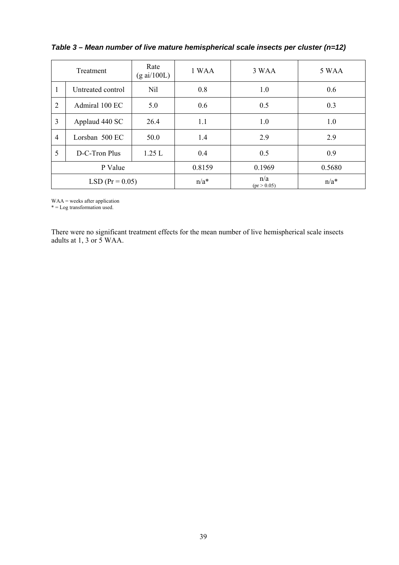|                   | Treatment         | Rate<br>$(g \text{ ai}/100L)$ | 1 WAA  | 3 WAA              | 5 WAA   |
|-------------------|-------------------|-------------------------------|--------|--------------------|---------|
| 1                 | Untreated control | Nil                           | 0.8    | 1.0                | 0.6     |
| $\overline{2}$    | Admiral 100 EC    | 5.0                           | 0.6    | 0.5                | 0.3     |
| 3                 | Applaud 440 SC    | 26.4                          | 1.1    | 1.0                | 1.0     |
| $\overline{4}$    | Lorsban 500 EC    | 50.0                          | 1.4    | 2.9                | 2.9     |
| 5                 | D-C-Tron Plus     | 1.25L                         | 0.4    | 0.5                | 0.9     |
| P Value           |                   | 0.8159                        | 0.1969 | 0.5680             |         |
| $LSD (Pr = 0.05)$ |                   |                               | $n/a*$ | n/a<br>(pr > 0.05) | $n/a^*$ |

*Table 3 – Mean number of live mature hemispherical scale insects per cluster (n=12)* 

 $* =$ Log transformation used.

There were no significant treatment effects for the mean number of live hemispherical scale insects adults at  $1, 3$  or  $5$  WAA.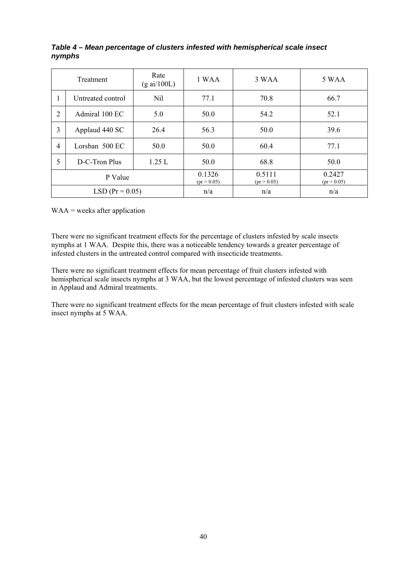|                   | Treatment         | Rate<br>$(g \text{ ai}/100L)$ | 1 WAA                 | 3 WAA                 | 5 WAA                 |
|-------------------|-------------------|-------------------------------|-----------------------|-----------------------|-----------------------|
|                   | Untreated control | Nil                           | 77.1                  | 70.8                  | 66.7                  |
| $\overline{2}$    | Admiral 100 EC    | 5.0                           | 50.0                  | 54.2                  | 52.1                  |
| 3                 | Applaud 440 SC    | 26.4                          | 56.3                  | 50.0                  | 39.6                  |
| 4                 | Lorsban 500 EC    | 50.0                          | 50.0                  | 60.4                  | 77.1                  |
| 5                 | D-C-Tron Plus     | 1.25L                         | 50.0                  | 68.8                  | 50.0                  |
| P Value           |                   |                               | 0.1326<br>(pr > 0.05) | 0.5111<br>(pr > 0.05) | 0.2427<br>(pr > 0.05) |
| $LSD (Pr = 0.05)$ |                   |                               | n/a                   | n/a                   | n/a                   |

*Table 4 – Mean percentage of clusters infested with hemispherical scale insect nymphs* 

There were no significant treatment effects for the percentage of clusters infested by scale insects nymphs at 1 WAA. Despite this, there was a noticeable tendency towards a greater percentage of infested clusters in the untreated control compared with insecticide treatments.

There were no significant treatment effects for mean percentage of fruit clusters infested with hemispherical scale insects nymphs at 3 WAA, but the lowest percentage of infested clusters was seen in Applaud and Admiral treatments.

There were no significant treatment effects for the mean percentage of fruit clusters infested with scale insect nymphs at 5 WAA.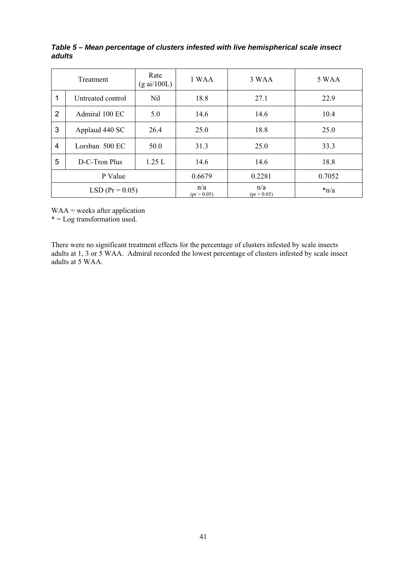|                   | Treatment         | Rate<br>$(g \text{ ai}/100L)$ | 1 WAA              | 3 WAA              | 5 WAA     |
|-------------------|-------------------|-------------------------------|--------------------|--------------------|-----------|
| 1                 | Untreated control | Nil                           | 18.8               | 27.1               | 22.9      |
| $\overline{2}$    | Admiral 100 EC    | 5.0                           | 14.6               | 14.6               | 10.4      |
| 3                 | Applaud 440 SC    | 26.4                          | 25.0               | 18.8               | 25.0      |
| $\overline{4}$    | Lorsban 500 EC    | 50.0                          | 31.3               | 25.0               | 33.3      |
| 5                 | D-C-Tron Plus     | 1.25L                         | 14.6               | 14.6               | 18.8      |
| P Value           |                   |                               | 0.6679             | 0.2281             | 0.7052    |
| $LSD (Pr = 0.05)$ |                   |                               | n/a<br>(pr > 0.05) | n/a<br>(pr > 0.05) | $*_{n/a}$ |

*Table 5 – Mean percentage of clusters infested with live hemispherical scale insect adults* 

\* = Log transformation used.

There were no significant treatment effects for the percentage of clusters infested by scale insects adults at 1, 3 or 5 WAA. Admiral recorded the lowest percentage of clusters infested by scale insect adults at 5 WAA.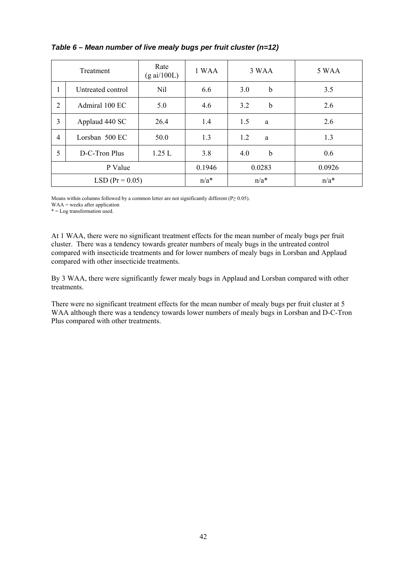|                     | Treatment         | Rate<br>$(g \text{ ai}/100L)$ | 1 WAA   | 3 WAA              | 5 WAA  |
|---------------------|-------------------|-------------------------------|---------|--------------------|--------|
| 1                   | Untreated control | Nil                           | 6.6     | $\mathbf b$<br>3.0 | 3.5    |
| $\overline{2}$      | Admiral 100 EC    | 5.0                           | 4.6     | $\mathbf b$<br>3.2 | 2.6    |
| 3                   | Applaud 440 SC    | 26.4                          | 1.4     | 1.5<br>a           | 2.6    |
| $\overline{4}$      | Lorsban 500 EC    | 50.0                          | 1.3     | 1.2<br>a           | 1.3    |
| 5                   | D-C-Tron Plus     | 1.25L                         | 3.8     | $\mathbf b$<br>4.0 | 0.6    |
| P Value             |                   | 0.1946                        | 0.0283  | 0.0926             |        |
| LSD ( $Pr = 0.05$ ) |                   |                               | $n/a^*$ | $n/a*$             | $n/a*$ |

#### *Table 6 – Mean number of live mealy bugs per fruit cluster (n=12)*

Means within columns followed by a common letter are not significantly different ( $P \ge 0.05$ ).

 $WAA$  = weeks after application

 $* =$ Log transformation used.

At 1 WAA, there were no significant treatment effects for the mean number of mealy bugs per fruit cluster. There was a tendency towards greater numbers of mealy bugs in the untreated control compared with insecticide treatments and for lower numbers of mealy bugs in Lorsban and Applaud compared with other insecticide treatments.

By 3 WAA, there were significantly fewer mealy bugs in Applaud and Lorsban compared with other treatments.

There were no significant treatment effects for the mean number of mealy bugs per fruit cluster at 5 WAA although there was a tendency towards lower numbers of mealy bugs in Lorsban and D-C-Tron Plus compared with other treatments.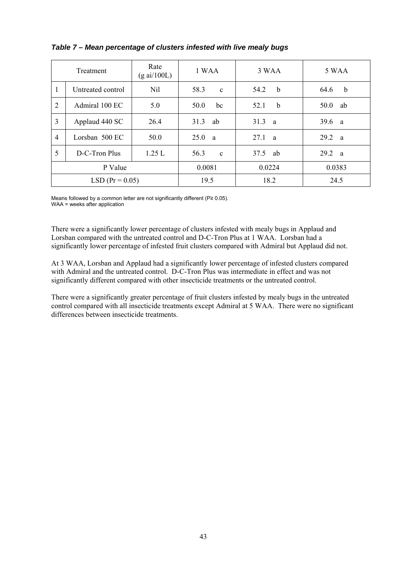|                | Treatment         | Rate<br>$(g \text{ ai}/100L)$ | 1 WAA                | 3 WAA                | 5 WAA                |
|----------------|-------------------|-------------------------------|----------------------|----------------------|----------------------|
| 1              | Untreated control | Nil                           | 58.3<br>$\mathbf{c}$ | 54.2<br>b            | 64.6<br>b            |
| $\overline{2}$ | Admiral 100 EC    | 5.0                           | 50.0<br>bc           | $\mathbf b$<br>52.1  | 50.0<br>ab           |
| 3              | Applaud 440 SC    | 26.4                          | 31.3<br>ab           | 31.3<br><sub>a</sub> | 39.6<br>a            |
| 4              | Lorsban 500 EC    | 50.0                          | 25.0<br><sub>a</sub> | 27.1<br><sub>a</sub> | 29.2<br><sub>a</sub> |
| 5              | D-C-Tron Plus     | 1.25L                         | 56.3<br>$\mathbf{c}$ | 37.5 ab              | 29.2 a               |
| P Value        |                   |                               | 0.0081               | 0.0224               | 0.0383               |
|                | $LSD (Pr = 0.05)$ |                               | 19.5                 | 18.2                 | 24.5                 |

#### *Table 7 – Mean percentage of clusters infested with live mealy bugs*

Means followed by a common letter are not significantly different (P≥ 0.05). WAA = weeks after application

There were a significantly lower percentage of clusters infested with mealy bugs in Applaud and Lorsban compared with the untreated control and D-C-Tron Plus at 1 WAA. Lorsban had a significantly lower percentage of infested fruit clusters compared with Admiral but Applaud did not.

At 3 WAA, Lorsban and Applaud had a significantly lower percentage of infested clusters compared with Admiral and the untreated control. D-C-Tron Plus was intermediate in effect and was not significantly different compared with other insecticide treatments or the untreated control.

There were a significantly greater percentage of fruit clusters infested by mealy bugs in the untreated control compared with all insecticide treatments except Admiral at 5 WAA. There were no significant differences between insecticide treatments.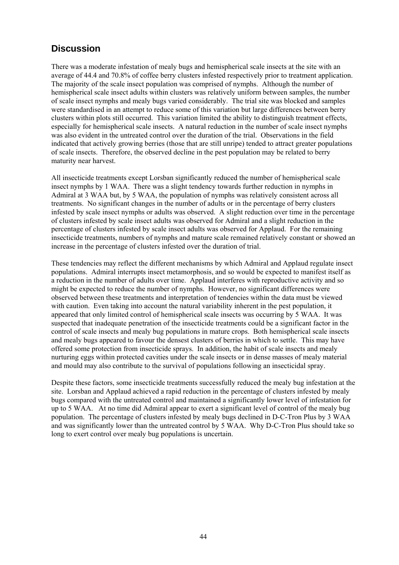## <span id="page-51-0"></span>**Discussion**

There was a moderate infestation of mealy bugs and hemispherical scale insects at the site with an average of 44.4 and 70.8% of coffee berry clusters infested respectively prior to treatment application. The majority of the scale insect population was comprised of nymphs. Although the number of hemispherical scale insect adults within clusters was relatively uniform between samples, the number of scale insect nymphs and mealy bugs varied considerably. The trial site was blocked and samples were standardised in an attempt to reduce some of this variation but large differences between berry clusters within plots still occurred. This variation limited the ability to distinguish treatment effects, especially for hemispherical scale insects. A natural reduction in the number of scale insect nymphs was also evident in the untreated control over the duration of the trial. Observations in the field indicated that actively growing berries (those that are still unripe) tended to attract greater populations of scale insects. Therefore, the observed decline in the pest population may be related to berry maturity near harvest.

All insecticide treatments except Lorsban significantly reduced the number of hemispherical scale insect nymphs by 1 WAA. There was a slight tendency towards further reduction in nymphs in Admiral at 3 WAA but, by 5 WAA, the population of nymphs was relatively consistent across all treatments. No significant changes in the number of adults or in the percentage of berry clusters infested by scale insect nymphs or adults was observed. A slight reduction over time in the percentage of clusters infested by scale insect adults was observed for Admiral and a slight reduction in the percentage of clusters infested by scale insect adults was observed for Applaud. For the remaining insecticide treatments, numbers of nymphs and mature scale remained relatively constant or showed an increase in the percentage of clusters infested over the duration of trial.

These tendencies may reflect the different mechanisms by which Admiral and Applaud regulate insect populations. Admiral interrupts insect metamorphosis, and so would be expected to manifest itself as a reduction in the number of adults over time. Applaud interferes with reproductive activity and so might be expected to reduce the number of nymphs. However, no significant differences were observed between these treatments and interpretation of tendencies within the data must be viewed with caution. Even taking into account the natural variability inherent in the pest population, it appeared that only limited control of hemispherical scale insects was occurring by 5 WAA. It was suspected that inadequate penetration of the insecticide treatments could be a significant factor in the control of scale insects and mealy bug populations in mature crops. Both hemispherical scale insects and mealy bugs appeared to favour the densest clusters of berries in which to settle. This may have offered some protection from insecticide sprays. In addition, the habit of scale insects and mealy nurturing eggs within protected cavities under the scale insects or in dense masses of mealy material and mould may also contribute to the survival of populations following an insecticidal spray.

Despite these factors, some insecticide treatments successfully reduced the mealy bug infestation at the site. Lorsban and Applaud achieved a rapid reduction in the percentage of clusters infested by mealy bugs compared with the untreated control and maintained a significantly lower level of infestation for up to 5 WAA. At no time did Admiral appear to exert a significant level of control of the mealy bug population. The percentage of clusters infested by mealy bugs declined in D-C-Tron Plus by 3 WAA and was significantly lower than the untreated control by 5 WAA. Why D-C-Tron Plus should take so long to exert control over mealy bug populations is uncertain.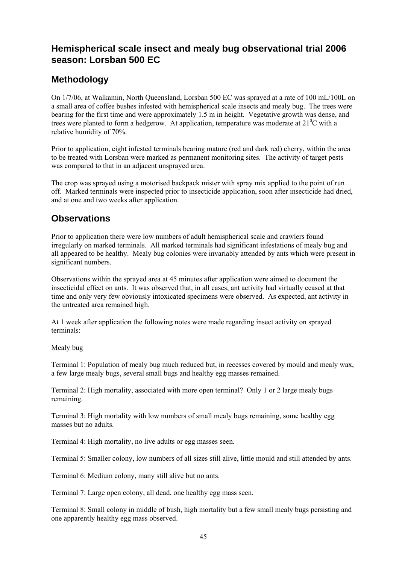## <span id="page-52-0"></span>**Hemispherical scale insect and mealy bug observational trial 2006 season: Lorsban 500 EC**

## **Methodology**

On 1/7/06, at Walkamin, North Queensland, Lorsban 500 EC was sprayed at a rate of 100 mL/100L on a small area of coffee bushes infested with hemispherical scale insects and mealy bug. The trees were bearing for the first time and were approximately 1.5 m in height. Vegetative growth was dense, and trees were planted to form a hedgerow. At application, temperature was moderate at  $21^{\circ}$ C with a relative humidity of 70%.

Prior to application, eight infested terminals bearing mature (red and dark red) cherry, within the area to be treated with Lorsban were marked as permanent monitoring sites. The activity of target pests was compared to that in an adjacent unsprayed area.

The crop was sprayed using a motorised backpack mister with spray mix applied to the point of run off. Marked terminals were inspected prior to insecticide application, soon after insecticide had dried, and at one and two weeks after application.

### **Observations**

Prior to application there were low numbers of adult hemispherical scale and crawlers found irregularly on marked terminals. All marked terminals had significant infestations of mealy bug and all appeared to be healthy. Mealy bug colonies were invariably attended by ants which were present in significant numbers.

Observations within the sprayed area at 45 minutes after application were aimed to document the insecticidal effect on ants. It was observed that, in all cases, ant activity had virtually ceased at that time and only very few obviously intoxicated specimens were observed. As expected, ant activity in the untreated area remained high.

At 1 week after application the following notes were made regarding insect activity on sprayed terminals:

#### Mealy bug

Terminal 1: Population of mealy bug much reduced but, in recesses covered by mould and mealy wax, a few large mealy bugs, several small bugs and healthy egg masses remained.

Terminal 2: High mortality, associated with more open terminal? Only 1 or 2 large mealy bugs remaining.

Terminal 3: High mortality with low numbers of small mealy bugs remaining, some healthy egg masses but no adults.

Terminal 4: High mortality, no live adults or egg masses seen.

Terminal 5: Smaller colony, low numbers of all sizes still alive, little mould and still attended by ants.

Terminal 6: Medium colony, many still alive but no ants.

Terminal 7: Large open colony, all dead, one healthy egg mass seen.

Terminal 8: Small colony in middle of bush, high mortality but a few small mealy bugs persisting and one apparently healthy egg mass observed.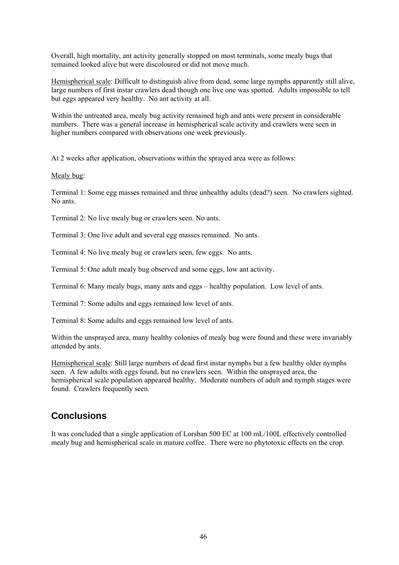<span id="page-53-0"></span>Overall, high mortality, ant activity generally stopped on most terminals, some mealy bugs that remained looked alive but were discoloured or did not move much.

Hemispherical scale: Difficult to distinguish alive from dead, some large nymphs apparently still alive, large numbers of first instar crawlers dead though one live one was spotted. Adults impossible to tell but eggs appeared very healthy. No ant activity at all.

Within the untreated area, mealy bug activity remained high and ants were present in considerable numbers. There was a general increase in hemispherical scale activity and crawlers were seen in higher numbers compared with observations one week previously.

At 2 weeks after application, observations within the sprayed area were as follows:

Mealy bug:

Terminal 1: Some egg masses remained and three unhealthy adults (dead?) seen. No crawlers sighted. No ants.

Terminal 2: No live mealy bug or crawlers seen. No ants.

Terminal 3: One live adult and several egg masses remained. No ants.

Terminal 4: No live mealy bug or crawlers seen, few eggs. No ants.

Terminal 5: One adult mealy bug observed and some eggs, low ant activity.

Terminal 6: Many mealy bugs, many ants and eggs – healthy population. Low level of ants.

Terminal 7: Some adults and eggs remained low level of ants.

Terminal 8: Some adults and eggs remained low level of ants.

Within the unsprayed area, many healthy colonies of mealy bug were found and these were invariably attended by ants.

Hemispherical scale: Still large numbers of dead first instar nymphs but a few healthy older nymphs seen. A few adults with eggs found, but no crawlers seen. Within the unsprayed area, the hemispherical scale population appeared healthy. Moderate numbers of adult and nymph stages were found. Crawlers frequently seen.

### **Conclusions**

It was concluded that a single application of Lorsban 500 EC at 100 mL/100L effectively controlled mealy bug and hemispherical scale in mature coffee. There were no phytotoxic effects on the crop.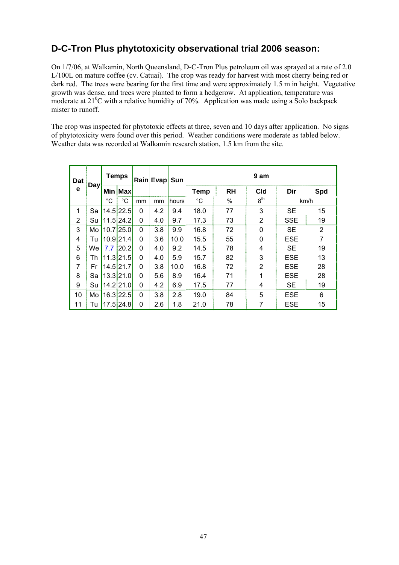## <span id="page-54-0"></span>**D-C-Tron Plus phytotoxicity observational trial 2006 season:**

On 1/7/06, at Walkamin, North Queensland, D-C-Tron Plus petroleum oil was sprayed at a rate of 2.0 L/100L on mature coffee (cv. Catuai). The crop was ready for harvest with most cherry being red or dark red. The trees were bearing for the first time and were approximately 1.5 m in height. Vegetative growth was dense, and trees were planted to form a hedgerow. At application, temperature was moderate at  $21^{\circ}$ C with a relative humidity of 70%. Application was made using a Solo backpack mister to runoff.

The crop was inspected for phytotoxic effects at three, seven and 10 days after application. No signs of phytotoxicity were found over this period. Weather conditions were moderate as tabled below. Weather data was recorded at Walkamin research station, 1.5 km from the site.

| Dat<br>e | <b>Day</b> | <b>Temps</b> |             |          | Rain Evap Sun |       | 9 am |           |                 |            |                |
|----------|------------|--------------|-------------|----------|---------------|-------|------|-----------|-----------------|------------|----------------|
|          |            |              | Min Max     |          |               |       | Temp | <b>RH</b> | Cld             | Dir        | <b>Spd</b>     |
|          |            | °C           | °C          | mm       | mm            | hours | °C   | $\%$      | 8 <sup>th</sup> | km/h       |                |
| 1        | Sa         |              | $14.5$ 22.5 | $\Omega$ | 4.2           | 9.4   | 18.0 | 77        | 3               | <b>SE</b>  | 15             |
| 2        | Su         |              | 11.5 24.2   | $\Omega$ | 4.0           | 9.7   | 17.3 | 73        | $\overline{2}$  | <b>SSE</b> | 19             |
| 3        | Mo         |              | 10.7 25.0   | $\Omega$ | 3.8           | 9.9   | 16.8 | 72        | 0               | <b>SE</b>  | $\overline{2}$ |
| 4        | Tu         |              | 10.9 21.4   | $\Omega$ | 3.6           | 10.0  | 15.5 | 55        | $\Omega$        | <b>ESE</b> | $\overline{7}$ |
| 5        | We         |              | $7.7$ 20.2  | $\Omega$ | 4.0           | 9.2   | 14.5 | 78        | 4               | <b>SE</b>  | 19             |
| 6        | Th         |              | 11.3 21.5   | $\Omega$ | 4.0           | 5.9   | 15.7 | 82        | 3               | <b>ESE</b> | 13             |
| 7        | Fr         |              | 14.5 21.7   | $\Omega$ | 3.8           | 10.0  | 16.8 | 72        | $\overline{2}$  | <b>ESE</b> | 28             |
| 8        | Sa         |              | 13.3 21.0   | $\Omega$ | 5.6           | 8.9   | 16.4 | 71        | 1               | <b>ESE</b> | 28             |
| 9        | Su         |              | 14.2 21.0   | $\Omega$ | 4.2           | 6.9   | 17.5 | 77        | 4               | <b>SE</b>  | 19             |
| 10       | Mo         |              | 16.3 22.5   | $\Omega$ | 3.8           | 2.8   | 19.0 | 84        | 5               | <b>ESE</b> | 6              |
| 11       | Tu         |              | 17.5 24.8   | $\Omega$ | 2.6           | 1.8   | 21.0 | 78        | 7               | <b>ESE</b> | 15             |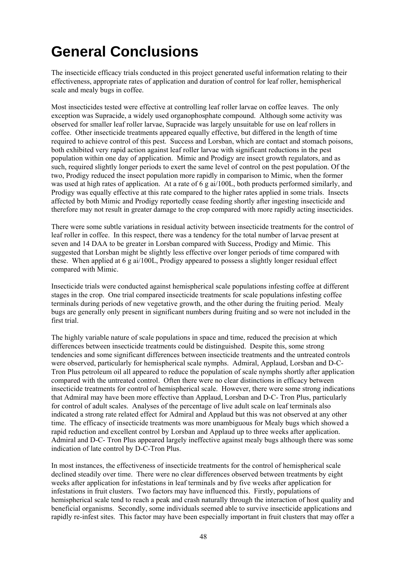## <span id="page-55-0"></span>**General Conclusions**

The insecticide efficacy trials conducted in this project generated useful information relating to their effectiveness, appropriate rates of application and duration of control for leaf roller, hemispherical scale and mealy bugs in coffee.

Most insecticides tested were effective at controlling leaf roller larvae on coffee leaves. The only exception was Supracide, a widely used organophosphate compound. Although some activity was observed for smaller leaf roller larvae, Supracide was largely unsuitable for use on leaf rollers in coffee. Other insecticide treatments appeared equally effective, but differed in the length of time required to achieve control of this pest. Success and Lorsban, which are contact and stomach poisons, both exhibited very rapid action against leaf roller larvae with significant reductions in the pest population within one day of application. Mimic and Prodigy are insect growth regulators, and as such, required slightly longer periods to exert the same level of control on the pest population. Of the two, Prodigy reduced the insect population more rapidly in comparison to Mimic, when the former was used at high rates of application. At a rate of 6 g ai/100L, both products performed similarly, and Prodigy was equally effective at this rate compared to the higher rates applied in some trials. Insects affected by both Mimic and Prodigy reportedly cease feeding shortly after ingesting insecticide and therefore may not result in greater damage to the crop compared with more rapidly acting insecticides.

There were some subtle variations in residual activity between insecticide treatments for the control of leaf roller in coffee. In this respect, there was a tendency for the total number of larvae present at seven and 14 DAA to be greater in Lorsban compared with Success, Prodigy and Mimic. This suggested that Lorsban might be slightly less effective over longer periods of time compared with these. When applied at 6 g ai/100L, Prodigy appeared to possess a slightly longer residual effect compared with Mimic.

Insecticide trials were conducted against hemispherical scale populations infesting coffee at different stages in the crop. One trial compared insecticide treatments for scale populations infesting coffee terminals during periods of new vegetative growth, and the other during the fruiting period. Mealy bugs are generally only present in significant numbers during fruiting and so were not included in the first trial.

The highly variable nature of scale populations in space and time, reduced the precision at which differences between insecticide treatments could be distinguished. Despite this, some strong tendencies and some significant differences between insecticide treatments and the untreated controls were observed, particularly for hemispherical scale nymphs. Admiral, Applaud, Lorsban and D-C-Tron Plus petroleum oil all appeared to reduce the population of scale nymphs shortly after application compared with the untreated control. Often there were no clear distinctions in efficacy between insecticide treatments for control of hemispherical scale. However, there were some strong indications that Admiral may have been more effective than Applaud, Lorsban and D-C- Tron Plus, particularly for control of adult scales. Analyses of the percentage of live adult scale on leaf terminals also indicated a strong rate related effect for Admiral and Applaud but this was not observed at any other time. The efficacy of insecticide treatments was more unambiguous for Mealy bugs which showed a rapid reduction and excellent control by Lorsban and Applaud up to three weeks after application. Admiral and D-C- Tron Plus appeared largely ineffective against mealy bugs although there was some indication of late control by D-C-Tron Plus.

In most instances, the effectiveness of insecticide treatments for the control of hemispherical scale declined steadily over time. There were no clear differences observed between treatments by eight weeks after application for infestations in leaf terminals and by five weeks after application for infestations in fruit clusters. Two factors may have influenced this. Firstly, populations of hemispherical scale tend to reach a peak and crash naturally through the interaction of host quality and beneficial organisms. Secondly, some individuals seemed able to survive insecticide applications and rapidly re-infest sites. This factor may have been especially important in fruit clusters that may offer a